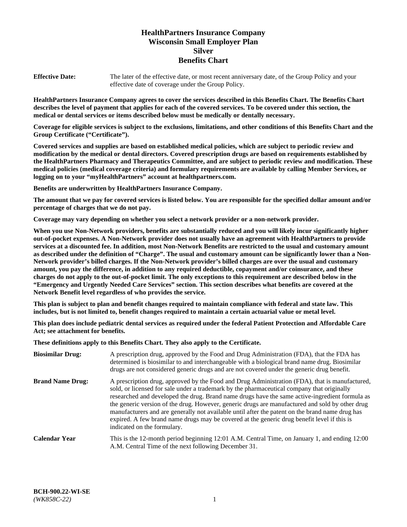# **HealthPartners Insurance Company Wisconsin Small Employer Plan Silver Benefits Chart**

**Effective Date:** The later of the effective date, or most recent anniversary date, of the Group Policy and your effective date of coverage under the Group Policy.

**HealthPartners Insurance Company agrees to cover the services described in this Benefits Chart. The Benefits Chart describes the level of payment that applies for each of the covered services. To be covered under this section, the medical or dental services or items described below must be medically or dentally necessary.**

**Coverage for eligible services is subject to the exclusions, limitations, and other conditions of this Benefits Chart and the Group Certificate ("Certificate").**

**Covered services and supplies are based on established medical policies, which are subject to periodic review and modification by the medical or dental directors. Covered prescription drugs are based on requirements established by the HealthPartners Pharmacy and Therapeutics Committee, and are subject to periodic review and modification. These medical policies (medical coverage criteria) and formulary requirements are available by calling Member Services, or logging on to your "myHealthPartners" account at [healthpartners.com.](https://www.healthpartners.com/hp/index.html)** 

**Benefits are underwritten by HealthPartners Insurance Company.**

**The amount that we pay for covered services is listed below. You are responsible for the specified dollar amount and/or percentage of charges that we do not pay.**

**Coverage may vary depending on whether you select a network provider or a non-network provider.**

**When you use Non-Network providers, benefits are substantially reduced and you will likely incur significantly higher out-of-pocket expenses. A Non-Network provider does not usually have an agreement with HealthPartners to provide services at a discounted fee. In addition, most Non-Network Benefits are restricted to the usual and customary amount as described under the definition of "Charge". The usual and customary amount can be significantly lower than a Non-Network provider's billed charges. If the Non-Network provider's billed charges are over the usual and customary amount, you pay the difference, in addition to any required deductible, copayment and/or coinsurance, and these charges do not apply to the out-of-pocket limit. The only exceptions to this requirement are described below in the "Emergency and Urgently Needed Care Services" section. This section describes what benefits are covered at the Network Benefit level regardless of who provides the service.**

**This plan is subject to plan and benefit changes required to maintain compliance with federal and state law. This includes, but is not limited to, benefit changes required to maintain a certain actuarial value or metal level.**

**This plan does include pediatric dental services as required under the federal Patient Protection and Affordable Care Act; see attachment for benefits.**

**These definitions apply to this Benefits Chart. They also apply to the Certificate.**

| <b>Biosimilar Drug:</b> | A prescription drug, approved by the Food and Drug Administration (FDA), that the FDA has<br>determined is biosimilar to and interchangeable with a biological brand name drug. Biosimilar<br>drugs are not considered generic drugs and are not covered under the generic drug benefit.                                                                                                                                                                                                                                                                                                                                           |
|-------------------------|------------------------------------------------------------------------------------------------------------------------------------------------------------------------------------------------------------------------------------------------------------------------------------------------------------------------------------------------------------------------------------------------------------------------------------------------------------------------------------------------------------------------------------------------------------------------------------------------------------------------------------|
| <b>Brand Name Drug:</b> | A prescription drug, approved by the Food and Drug Administration (FDA), that is manufactured,<br>sold, or licensed for sale under a trademark by the pharmaceutical company that originally<br>researched and developed the drug. Brand name drugs have the same active-ingredient formula as<br>the generic version of the drug. However, generic drugs are manufactured and sold by other drug<br>manufacturers and are generally not available until after the patent on the brand name drug has<br>expired. A few brand name drugs may be covered at the generic drug benefit level if this is<br>indicated on the formulary. |
| <b>Calendar Year</b>    | This is the 12-month period beginning 12:01 A.M. Central Time, on January 1, and ending 12:00<br>A.M. Central Time of the next following December 31.                                                                                                                                                                                                                                                                                                                                                                                                                                                                              |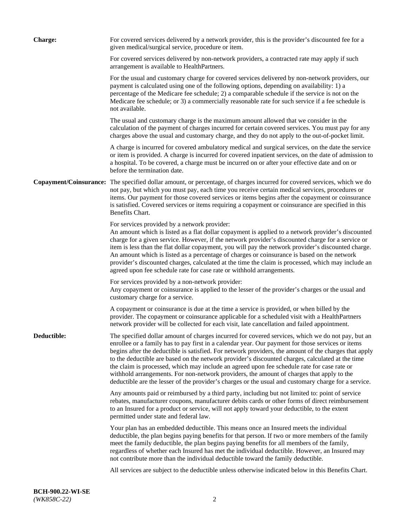| <b>Charge:</b> | For covered services delivered by a network provider, this is the provider's discounted fee for a<br>given medical/surgical service, procedure or item.                                                                                                                                                                                                                                                                                                                                                                                                                                                                                                                                                                 |
|----------------|-------------------------------------------------------------------------------------------------------------------------------------------------------------------------------------------------------------------------------------------------------------------------------------------------------------------------------------------------------------------------------------------------------------------------------------------------------------------------------------------------------------------------------------------------------------------------------------------------------------------------------------------------------------------------------------------------------------------------|
|                | For covered services delivered by non-network providers, a contracted rate may apply if such<br>arrangement is available to HealthPartners.                                                                                                                                                                                                                                                                                                                                                                                                                                                                                                                                                                             |
|                | For the usual and customary charge for covered services delivered by non-network providers, our<br>payment is calculated using one of the following options, depending on availability: 1) a<br>percentage of the Medicare fee schedule; 2) a comparable schedule if the service is not on the<br>Medicare fee schedule; or 3) a commercially reasonable rate for such service if a fee schedule is<br>not available.                                                                                                                                                                                                                                                                                                   |
|                | The usual and customary charge is the maximum amount allowed that we consider in the<br>calculation of the payment of charges incurred for certain covered services. You must pay for any<br>charges above the usual and customary charge, and they do not apply to the out-of-pocket limit.                                                                                                                                                                                                                                                                                                                                                                                                                            |
|                | A charge is incurred for covered ambulatory medical and surgical services, on the date the service<br>or item is provided. A charge is incurred for covered inpatient services, on the date of admission to<br>a hospital. To be covered, a charge must be incurred on or after your effective date and on or<br>before the termination date.                                                                                                                                                                                                                                                                                                                                                                           |
|                | Copayment/Coinsurance: The specified dollar amount, or percentage, of charges incurred for covered services, which we do<br>not pay, but which you must pay, each time you receive certain medical services, procedures or<br>items. Our payment for those covered services or items begins after the copayment or coinsurance<br>is satisfied. Covered services or items requiring a copayment or coinsurance are specified in this<br>Benefits Chart.                                                                                                                                                                                                                                                                 |
|                | For services provided by a network provider:<br>An amount which is listed as a flat dollar copayment is applied to a network provider's discounted<br>charge for a given service. However, if the network provider's discounted charge for a service or<br>item is less than the flat dollar copayment, you will pay the network provider's discounted charge.<br>An amount which is listed as a percentage of charges or coinsurance is based on the network<br>provider's discounted charges, calculated at the time the claim is processed, which may include an<br>agreed upon fee schedule rate for case rate or withhold arrangements.                                                                            |
|                | For services provided by a non-network provider:<br>Any copayment or coinsurance is applied to the lesser of the provider's charges or the usual and<br>customary charge for a service.                                                                                                                                                                                                                                                                                                                                                                                                                                                                                                                                 |
|                | A copayment or coinsurance is due at the time a service is provided, or when billed by the<br>provider. The copayment or coinsurance applicable for a scheduled visit with a HealthPartners<br>network provider will be collected for each visit, late cancellation and failed appointment.                                                                                                                                                                                                                                                                                                                                                                                                                             |
| Deductible:    | The specified dollar amount of charges incurred for covered services, which we do not pay, but an<br>enrollee or a family has to pay first in a calendar year. Our payment for those services or items<br>begins after the deductible is satisfied. For network providers, the amount of the charges that apply<br>to the deductible are based on the network provider's discounted charges, calculated at the time<br>the claim is processed, which may include an agreed upon fee schedule rate for case rate or<br>withhold arrangements. For non-network providers, the amount of charges that apply to the<br>deductible are the lesser of the provider's charges or the usual and customary charge for a service. |
|                | Any amounts paid or reimbursed by a third party, including but not limited to: point of service<br>rebates, manufacturer coupons, manufacturer debits cards or other forms of direct reimbursement<br>to an Insured for a product or service, will not apply toward your deductible, to the extent<br>permitted under state and federal law.                                                                                                                                                                                                                                                                                                                                                                            |
|                | Your plan has an embedded deductible. This means once an Insured meets the individual<br>deductible, the plan begins paying benefits for that person. If two or more members of the family<br>meet the family deductible, the plan begins paying benefits for all members of the family,<br>regardless of whether each Insured has met the individual deductible. However, an Insured may<br>not contribute more than the individual deductible toward the family deductible.                                                                                                                                                                                                                                           |
|                | All services are subject to the deductible unless otherwise indicated below in this Benefits Chart.                                                                                                                                                                                                                                                                                                                                                                                                                                                                                                                                                                                                                     |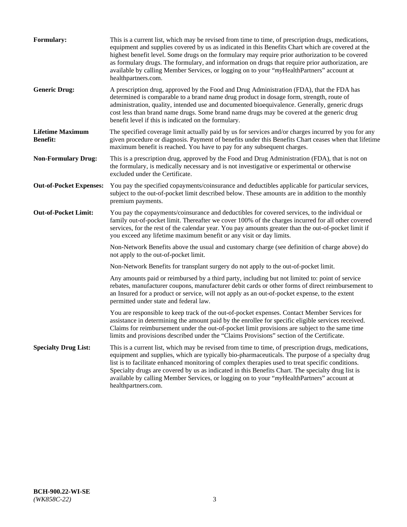| <b>Formulary:</b>                          | This is a current list, which may be revised from time to time, of prescription drugs, medications,<br>equipment and supplies covered by us as indicated in this Benefits Chart which are covered at the<br>highest benefit level. Some drugs on the formulary may require prior authorization to be covered<br>as formulary drugs. The formulary, and information on drugs that require prior authorization, are<br>available by calling Member Services, or logging on to your "myHealthPartners" account at<br>healthpartners.com. |
|--------------------------------------------|---------------------------------------------------------------------------------------------------------------------------------------------------------------------------------------------------------------------------------------------------------------------------------------------------------------------------------------------------------------------------------------------------------------------------------------------------------------------------------------------------------------------------------------|
| <b>Generic Drug:</b>                       | A prescription drug, approved by the Food and Drug Administration (FDA), that the FDA has<br>determined is comparable to a brand name drug product in dosage form, strength, route of<br>administration, quality, intended use and documented bioequivalence. Generally, generic drugs<br>cost less than brand name drugs. Some brand name drugs may be covered at the generic drug<br>benefit level if this is indicated on the formulary.                                                                                           |
| <b>Lifetime Maximum</b><br><b>Benefit:</b> | The specified coverage limit actually paid by us for services and/or charges incurred by you for any<br>given procedure or diagnosis. Payment of benefits under this Benefits Chart ceases when that lifetime<br>maximum benefit is reached. You have to pay for any subsequent charges.                                                                                                                                                                                                                                              |
| <b>Non-Formulary Drug:</b>                 | This is a prescription drug, approved by the Food and Drug Administration (FDA), that is not on<br>the formulary, is medically necessary and is not investigative or experimental or otherwise<br>excluded under the Certificate.                                                                                                                                                                                                                                                                                                     |
| <b>Out-of-Pocket Expenses:</b>             | You pay the specified copayments/coinsurance and deductibles applicable for particular services,<br>subject to the out-of-pocket limit described below. These amounts are in addition to the monthly<br>premium payments.                                                                                                                                                                                                                                                                                                             |
| <b>Out-of-Pocket Limit:</b>                | You pay the copayments/coinsurance and deductibles for covered services, to the individual or<br>family out-of-pocket limit. Thereafter we cover 100% of the charges incurred for all other covered<br>services, for the rest of the calendar year. You pay amounts greater than the out-of-pocket limit if<br>you exceed any lifetime maximum benefit or any visit or day limits.                                                                                                                                                    |
|                                            | Non-Network Benefits above the usual and customary charge (see definition of charge above) do<br>not apply to the out-of-pocket limit.                                                                                                                                                                                                                                                                                                                                                                                                |
|                                            | Non-Network Benefits for transplant surgery do not apply to the out-of-pocket limit.                                                                                                                                                                                                                                                                                                                                                                                                                                                  |
|                                            | Any amounts paid or reimbursed by a third party, including but not limited to: point of service<br>rebates, manufacturer coupons, manufacturer debit cards or other forms of direct reimbursement to<br>an Insured for a product or service, will not apply as an out-of-pocket expense, to the extent<br>permitted under state and federal law.                                                                                                                                                                                      |
|                                            | You are responsible to keep track of the out-of-pocket expenses. Contact Member Services for<br>assistance in determining the amount paid by the enrollee for specific eligible services received.<br>Claims for reimbursement under the out-of-pocket limit provisions are subject to the same time<br>limits and provisions described under the "Claims Provisions" section of the Certificate.                                                                                                                                     |
| <b>Specialty Drug List:</b>                | This is a current list, which may be revised from time to time, of prescription drugs, medications,<br>equipment and supplies, which are typically bio-pharmaceuticals. The purpose of a specialty drug<br>list is to facilitate enhanced monitoring of complex therapies used to treat specific conditions.<br>Specialty drugs are covered by us as indicated in this Benefits Chart. The specialty drug list is<br>available by calling Member Services, or logging on to your "myHealthPartners" account at<br>healthpartners.com. |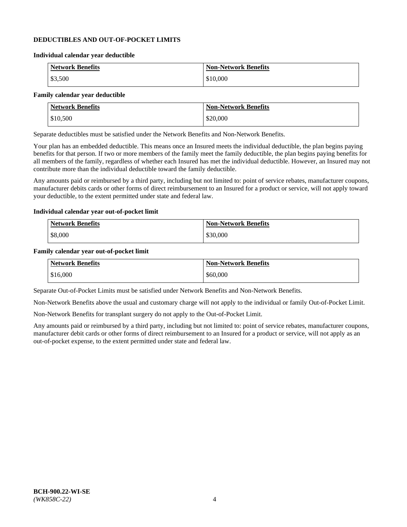#### **DEDUCTIBLES AND OUT-OF-POCKET LIMITS**

#### **Individual calendar year deductible**

| <b>Network Benefits</b> | <b>Non-Network Benefits</b> |
|-------------------------|-----------------------------|
| \$3,500                 | \$10,000                    |

#### **Family calendar year deductible**

| <b>Network Benefits</b> | <b>Non-Network Benefits</b> |
|-------------------------|-----------------------------|
| \$10,500                | \$20,000                    |

Separate deductibles must be satisfied under the Network Benefits and Non-Network Benefits.

Your plan has an embedded deductible. This means once an Insured meets the individual deductible, the plan begins paying benefits for that person. If two or more members of the family meet the family deductible, the plan begins paying benefits for all members of the family, regardless of whether each Insured has met the individual deductible. However, an Insured may not contribute more than the individual deductible toward the family deductible.

Any amounts paid or reimbursed by a third party, including but not limited to: point of service rebates, manufacturer coupons, manufacturer debits cards or other forms of direct reimbursement to an Insured for a product or service, will not apply toward your deductible, to the extent permitted under state and federal law.

#### **Individual calendar year out-of-pocket limit**

| <b>Network Benefits</b> | <b>Non-Network Benefits</b> |
|-------------------------|-----------------------------|
| \$8,000                 | \$30,000                    |

#### **Family calendar year out-of-pocket limit**

| <b>Network Benefits</b> | <b>Non-Network Benefits</b> |
|-------------------------|-----------------------------|
| \$16,000                | \$60,000                    |

Separate Out-of-Pocket Limits must be satisfied under Network Benefits and Non-Network Benefits.

Non-Network Benefits above the usual and customary charge will not apply to the individual or family Out-of-Pocket Limit.

Non-Network Benefits for transplant surgery do not apply to the Out-of-Pocket Limit.

Any amounts paid or reimbursed by a third party, including but not limited to: point of service rebates, manufacturer coupons, manufacturer debit cards or other forms of direct reimbursement to an Insured for a product or service, will not apply as an out-of-pocket expense, to the extent permitted under state and federal law.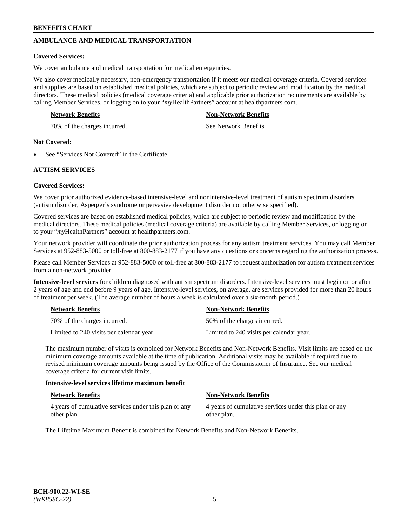# **AMBULANCE AND MEDICAL TRANSPORTATION**

#### **Covered Services:**

We cover ambulance and medical transportation for medical emergencies.

We also cover medically necessary, non-emergency transportation if it meets our medical coverage criteria. Covered services and supplies are based on established medical policies, which are subject to periodic review and modification by the medical directors. These medical policies (medical coverage criteria) and applicable prior authorization requirements are available by calling Member Services, or logging on to your "*my*HealthPartners" account a[t healthpartners.com.](https://www.healthpartners.com/hp/index.html)

| <b>Network Benefits</b>      | <b>Non-Network Benefits</b> |
|------------------------------|-----------------------------|
| 70% of the charges incurred. | See Network Benefits.       |

#### **Not Covered:**

See "Services Not Covered" in the Certificate.

# **AUTISM SERVICES**

## **Covered Services:**

We cover prior authorized evidence-based intensive-level and nonintensive-level treatment of autism spectrum disorders (autism disorder, Asperger's syndrome or pervasive development disorder not otherwise specified).

Covered services are based on established medical policies, which are subject to periodic review and modification by the medical directors. These medical policies (medical coverage criteria) are available by calling Member Services, or logging on to your "*my*HealthPartners" account at [healthpartners.com.](https://www.healthpartners.com/hp/index.html)

Your network provider will coordinate the prior authorization process for any autism treatment services. You may call Member Services at 952-883-5000 or toll-free at 800-883-2177 if you have any questions or concerns regarding the authorization process.

Please call Member Services at 952-883-5000 or toll-free at 800-883-2177 to request authorization for autism treatment services from a non-network provider.

**Intensive-level services** for children diagnosed with autism spectrum disorders. Intensive-level services must begin on or after 2 years of age and end before 9 years of age. Intensive-level services, on average, are services provided for more than 20 hours of treatment per week. (The average number of hours a week is calculated over a six-month period.)

| Network Benefits                         | <b>Non-Network Benefits</b>              |
|------------------------------------------|------------------------------------------|
| 70% of the charges incurred.             | 50% of the charges incurred.             |
| Limited to 240 visits per calendar year. | Limited to 240 visits per calendar year. |

The maximum number of visits is combined for Network Benefits and Non-Network Benefits. Visit limits are based on the minimum coverage amounts available at the time of publication. Additional visits may be available if required due to revised minimum coverage amounts being issued by the Office of the Commissioner of Insurance. See our medical coverage criteria for current visit limits.

#### **Intensive-level services lifetime maximum benefit**

| Network Benefits                                                     | <b>Non-Network Benefits</b>                                          |
|----------------------------------------------------------------------|----------------------------------------------------------------------|
| 4 years of cumulative services under this plan or any<br>other plan. | 4 years of cumulative services under this plan or any<br>other plan. |

The Lifetime Maximum Benefit is combined for Network Benefits and Non-Network Benefits.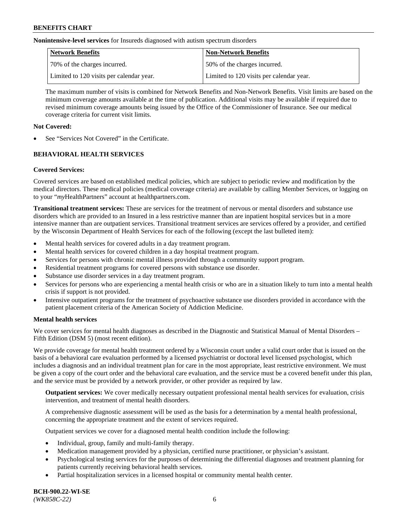**Nonintensive-level services** for Insureds diagnosed with autism spectrum disorders

| Network Benefits                         | <b>Non-Network Benefits</b>              |
|------------------------------------------|------------------------------------------|
| 70% of the charges incurred.             | 50% of the charges incurred.             |
| Limited to 120 visits per calendar year. | Limited to 120 visits per calendar year. |

The maximum number of visits is combined for Network Benefits and Non-Network Benefits. Visit limits are based on the minimum coverage amounts available at the time of publication. Additional visits may be available if required due to revised minimum coverage amounts being issued by the Office of the Commissioner of Insurance. See our medical coverage criteria for current visit limits.

## **Not Covered:**

See "Services Not Covered" in the Certificate.

# **BEHAVIORAL HEALTH SERVICES**

#### **Covered Services:**

Covered services are based on established medical policies, which are subject to periodic review and modification by the medical directors. These medical policies (medical coverage criteria) are available by calling Member Services, or logging on to your "*my*HealthPartners" account at [healthpartners.com.](https://www.healthpartners.com/hp/index.html)

**Transitional treatment services:** These are services for the treatment of nervous or mental disorders and substance use disorders which are provided to an Insured in a less restrictive manner than are inpatient hospital services but in a more intensive manner than are outpatient services. Transitional treatment services are services offered by a provider, and certified by the Wisconsin Department of Health Services for each of the following (except the last bulleted item):

- Mental health services for covered adults in a day treatment program.
- Mental health services for covered children in a day hospital treatment program.
- Services for persons with chronic mental illness provided through a community support program.
- Residential treatment programs for covered persons with substance use disorder.
- Substance use disorder services in a day treatment program.
- Services for persons who are experiencing a mental health crisis or who are in a situation likely to turn into a mental health crisis if support is not provided.
- Intensive outpatient programs for the treatment of psychoactive substance use disorders provided in accordance with the patient placement criteria of the American Society of Addiction Medicine.

## **Mental health services**

We cover services for mental health diagnoses as described in the Diagnostic and Statistical Manual of Mental Disorders – Fifth Edition (DSM 5) (most recent edition).

We provide coverage for mental health treatment ordered by a Wisconsin court under a valid court order that is issued on the basis of a behavioral care evaluation performed by a licensed psychiatrist or doctoral level licensed psychologist, which includes a diagnosis and an individual treatment plan for care in the most appropriate, least restrictive environment. We must be given a copy of the court order and the behavioral care evaluation, and the service must be a covered benefit under this plan, and the service must be provided by a network provider, or other provider as required by law.

**Outpatient services:** We cover medically necessary outpatient professional mental health services for evaluation, crisis intervention, and treatment of mental health disorders.

A comprehensive diagnostic assessment will be used as the basis for a determination by a mental health professional, concerning the appropriate treatment and the extent of services required.

Outpatient services we cover for a diagnosed mental health condition include the following:

- Individual, group, family and multi-family therapy.
- Medication management provided by a physician, certified nurse practitioner, or physician's assistant.
- Psychological testing services for the purposes of determining the differential diagnoses and treatment planning for patients currently receiving behavioral health services.
- Partial hospitalization services in a licensed hospital or community mental health center.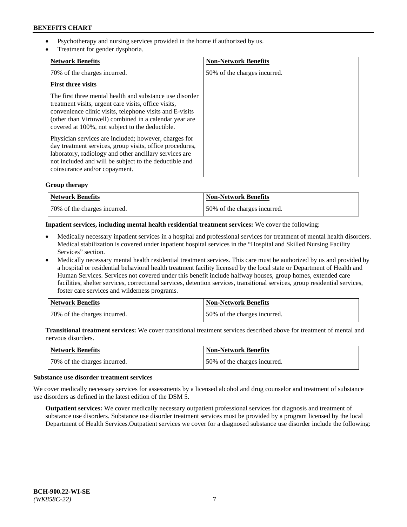- Psychotherapy and nursing services provided in the home if authorized by us.
- Treatment for gender dysphoria.

| <b>Network Benefits</b>                                                                                                                                                                                                                                                                   | <b>Non-Network Benefits</b>  |
|-------------------------------------------------------------------------------------------------------------------------------------------------------------------------------------------------------------------------------------------------------------------------------------------|------------------------------|
| 70% of the charges incurred.                                                                                                                                                                                                                                                              | 50% of the charges incurred. |
| <b>First three visits</b>                                                                                                                                                                                                                                                                 |                              |
| The first three mental health and substance use disorder<br>treatment visits, urgent care visits, office visits,<br>convenience clinic visits, telephone visits and E-visits<br>(other than Virtuwell) combined in a calendar year are<br>covered at 100%, not subject to the deductible. |                              |
| Physician services are included; however, charges for<br>day treatment services, group visits, office procedures,<br>laboratory, radiology and other ancillary services are<br>not included and will be subject to the deductible and<br>coinsurance and/or copayment.                    |                              |

## **Group therapy**

| Network Benefits             | <b>Non-Network Benefits</b>  |
|------------------------------|------------------------------|
| 70% of the charges incurred. | 50% of the charges incurred. |

#### **Inpatient services, including mental health residential treatment services:** We cover the following:

- Medically necessary inpatient services in a hospital and professional services for treatment of mental health disorders. Medical stabilization is covered under inpatient hospital services in the "Hospital and Skilled Nursing Facility Services" section.
- Medically necessary mental health residential treatment services. This care must be authorized by us and provided by a hospital or residential behavioral health treatment facility licensed by the local state or Department of Health and Human Services. Services not covered under this benefit include halfway houses, group homes, extended care facilities, shelter services, correctional services, detention services, transitional services, group residential services, foster care services and wilderness programs.

| Network Benefits             | <b>Non-Network Benefits</b>  |
|------------------------------|------------------------------|
| 70% of the charges incurred. | 50% of the charges incurred. |

**Transitional treatment services:** We cover transitional treatment services described above for treatment of mental and nervous disorders.

| Network Benefits             | Non-Network Benefits         |
|------------------------------|------------------------------|
| 70% of the charges incurred. | 50% of the charges incurred. |

#### **Substance use disorder treatment services**

We cover medically necessary services for assessments by a licensed alcohol and drug counselor and treatment of substance use disorders as defined in the latest edition of the DSM 5.

**Outpatient services:** We cover medically necessary outpatient professional services for diagnosis and treatment of substance use disorders. Substance use disorder treatment services must be provided by a program licensed by the local Department of Health Services.Outpatient services we cover for a diagnosed substance use disorder include the following: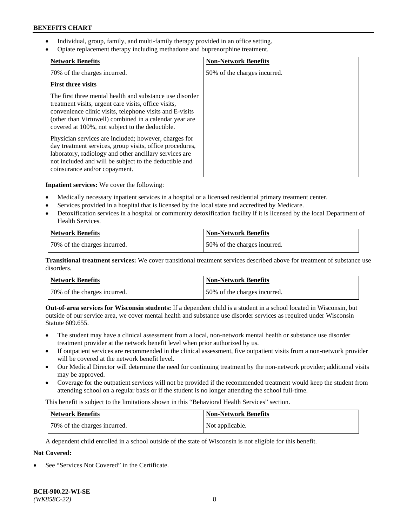- Individual, group, family, and multi-family therapy provided in an office setting.
- Opiate replacement therapy including methadone and buprenorphine treatment.

| <b>Network Benefits</b>                                                                                                                                                                                                                                                                   | <b>Non-Network Benefits</b>  |
|-------------------------------------------------------------------------------------------------------------------------------------------------------------------------------------------------------------------------------------------------------------------------------------------|------------------------------|
| 70% of the charges incurred.                                                                                                                                                                                                                                                              | 50% of the charges incurred. |
| <b>First three visits</b>                                                                                                                                                                                                                                                                 |                              |
| The first three mental health and substance use disorder<br>treatment visits, urgent care visits, office visits,<br>convenience clinic visits, telephone visits and E-visits<br>(other than Virtuwell) combined in a calendar year are<br>covered at 100%, not subject to the deductible. |                              |
| Physician services are included; however, charges for<br>day treatment services, group visits, office procedures,<br>laboratory, radiology and other ancillary services are<br>not included and will be subject to the deductible and<br>coinsurance and/or copayment.                    |                              |

**Inpatient services:** We cover the following:

- Medically necessary inpatient services in a hospital or a licensed residential primary treatment center.
- Services provided in a hospital that is licensed by the local state and accredited by Medicare.
- Detoxification services in a hospital or community detoxification facility if it is licensed by the local Department of Health Services.

| <b>Network Benefits</b>      | <b>Non-Network Benefits</b>  |
|------------------------------|------------------------------|
| 70% of the charges incurred. | 50% of the charges incurred. |

**Transitional treatment services:** We cover transitional treatment services described above for treatment of substance use disorders.

| Network Benefits             | <b>Non-Network Benefits</b>  |
|------------------------------|------------------------------|
| 70% of the charges incurred. | 50% of the charges incurred. |

**Out-of-area services for Wisconsin students:** If a dependent child is a student in a school located in Wisconsin, but outside of our service area, we cover mental health and substance use disorder services as required under Wisconsin Statute 609.655.

- The student may have a clinical assessment from a local, non-network mental health or substance use disorder treatment provider at the network benefit level when prior authorized by us.
- If outpatient services are recommended in the clinical assessment, five outpatient visits from a non-network provider will be covered at the network benefit level.
- Our Medical Director will determine the need for continuing treatment by the non-network provider; additional visits may be approved.
- Coverage for the outpatient services will not be provided if the recommended treatment would keep the student from attending school on a regular basis or if the student is no longer attending the school full-time.

This benefit is subject to the limitations shown in this "Behavioral Health Services" section.

| Network Benefits             | Non-Network Benefits |
|------------------------------|----------------------|
| 70% of the charges incurred. | Not applicable.      |

A dependent child enrolled in a school outside of the state of Wisconsin is not eligible for this benefit.

## **Not Covered:**

See "Services Not Covered" in the Certificate.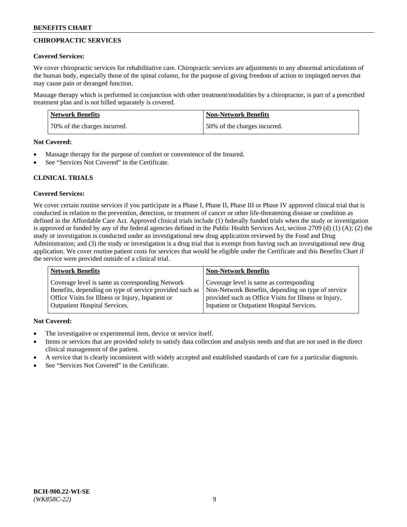# **CHIROPRACTIC SERVICES**

#### **Covered Services:**

We cover chiropractic services for rehabilitative care. Chiropractic services are adjustments to any abnormal articulations of the human body, especially those of the spinal column, for the purpose of giving freedom of action to impinged nerves that may cause pain or deranged function.

Massage therapy which is performed in conjunction with other treatment/modalities by a chiropractor, is part of a prescribed treatment plan and is not billed separately is covered.

| <b>Network Benefits</b>      | Non-Network Benefits         |
|------------------------------|------------------------------|
| 70% of the charges incurred. | 50% of the charges incurred. |

#### **Not Covered:**

- Massage therapy for the purpose of comfort or convenience of the Insured.
- See "Services Not Covered" in the Certificate.

# **CLINICAL TRIALS**

## **Covered Services:**

We cover certain routine services if you participate in a Phase I, Phase II, Phase III or Phase IV approved clinical trial that is conducted in relation to the prevention, detection, or treatment of cancer or other life-threatening disease or condition as defined in the Affordable Care Act. Approved clinical trials include (1) federally funded trials when the study or investigation is approved or funded by any of the federal agencies defined in the Public Health Services Act, section 2709 (d) (1) (A); (2) the study or investigation is conducted under an investigational new drug application reviewed by the Food and Drug Administration; and (3) the study or investigation is a drug trial that is exempt from having such an investigational new drug application. We cover routine patient costs for services that would be eligible under the Certificate and this Benefits Chart if the service were provided outside of a clinical trial.

| <b>Network Benefits</b>                                 | <b>Non-Network Benefits</b>                           |
|---------------------------------------------------------|-------------------------------------------------------|
| Coverage level is same as corresponding Network         | Coverage level is same as corresponding               |
| Benefits, depending on type of service provided such as | Non-Network Benefits, depending on type of service    |
| Office Visits for Illness or Injury, Inpatient or       | provided such as Office Visits for Illness or Injury, |
| <b>Outpatient Hospital Services.</b>                    | Inpatient or Outpatient Hospital Services.            |

## **Not Covered:**

- The investigative or experimental item, device or service itself.
- Items or services that are provided solely to satisfy data collection and analysis needs and that are not used in the direct clinical management of the patient.
- A service that is clearly inconsistent with widely accepted and established standards of care for a particular diagnosis.
- See "Services Not Covered" in the Certificate.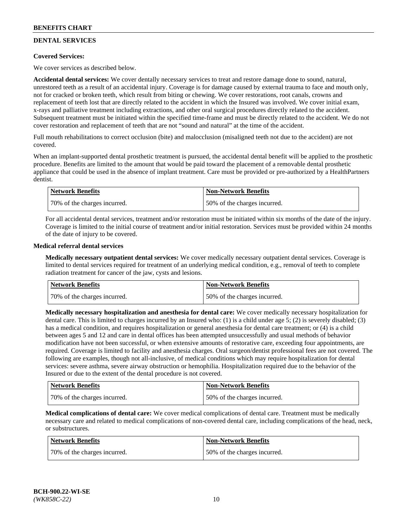# **DENTAL SERVICES**

## **Covered Services:**

We cover services as described below.

**Accidental dental services:** We cover dentally necessary services to treat and restore damage done to sound, natural, unrestored teeth as a result of an accidental injury. Coverage is for damage caused by external trauma to face and mouth only, not for cracked or broken teeth, which result from biting or chewing. We cover restorations, root canals, crowns and replacement of teeth lost that are directly related to the accident in which the Insured was involved. We cover initial exam, x-rays and palliative treatment including extractions, and other oral surgical procedures directly related to the accident. Subsequent treatment must be initiated within the specified time-frame and must be directly related to the accident. We do not cover restoration and replacement of teeth that are not "sound and natural" at the time of the accident.

Full mouth rehabilitations to correct occlusion (bite) and malocclusion (misaligned teeth not due to the accident) are not covered.

When an implant-supported dental prosthetic treatment is pursued, the accidental dental benefit will be applied to the prosthetic procedure. Benefits are limited to the amount that would be paid toward the placement of a removable dental prosthetic appliance that could be used in the absence of implant treatment. Care must be provided or pre-authorized by a HealthPartners dentist.

| <b>Network Benefits</b>       | <b>Non-Network Benefits</b>  |
|-------------------------------|------------------------------|
| 170% of the charges incurred. | 50% of the charges incurred. |

For all accidental dental services, treatment and/or restoration must be initiated within six months of the date of the injury. Coverage is limited to the initial course of treatment and/or initial restoration. Services must be provided within 24 months of the date of injury to be covered.

#### **Medical referral dental services**

**Medically necessary outpatient dental services:** We cover medically necessary outpatient dental services. Coverage is limited to dental services required for treatment of an underlying medical condition, e.g., removal of teeth to complete radiation treatment for cancer of the jaw, cysts and lesions.

| Network Benefits             | <b>Non-Network Benefits</b>  |
|------------------------------|------------------------------|
| 70% of the charges incurred. | 50% of the charges incurred. |

**Medically necessary hospitalization and anesthesia for dental care:** We cover medically necessary hospitalization for dental care. This is limited to charges incurred by an Insured who: (1) is a child under age  $5$ ; (2) is severely disabled; (3) has a medical condition, and requires hospitalization or general anesthesia for dental care treatment; or (4) is a child between ages 5 and 12 and care in dental offices has been attempted unsuccessfully and usual methods of behavior modification have not been successful, or when extensive amounts of restorative care, exceeding four appointments, are required. Coverage is limited to facility and anesthesia charges. Oral surgeon/dentist professional fees are not covered. The following are examples, though not all-inclusive, of medical conditions which may require hospitalization for dental services: severe asthma, severe airway obstruction or hemophilia. Hospitalization required due to the behavior of the Insured or due to the extent of the dental procedure is not covered.

| Network Benefits             | <b>Non-Network Benefits</b>  |
|------------------------------|------------------------------|
| 70% of the charges incurred. | 50% of the charges incurred. |

**Medical complications of dental care:** We cover medical complications of dental care. Treatment must be medically necessary care and related to medical complications of non-covered dental care, including complications of the head, neck, or substructures.

| Network Benefits             | <b>Non-Network Benefits</b>  |
|------------------------------|------------------------------|
| 70% of the charges incurred. | 50% of the charges incurred. |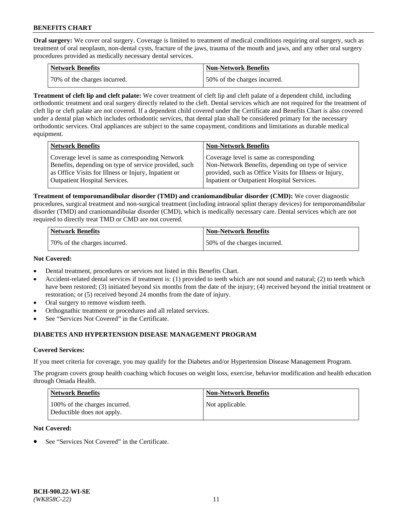**Oral surgery:** We cover oral surgery. Coverage is limited to treatment of medical conditions requiring oral surgery, such as treatment of oral neoplasm, non-dental cysts, fracture of the jaws, trauma of the mouth and jaws, and any other oral surgery procedures provided as medically necessary dental services.

| <b>Network Benefits</b>       | <b>Non-Network Benefits</b>  |
|-------------------------------|------------------------------|
| 170% of the charges incurred. | 50% of the charges incurred. |

**Treatment of cleft lip and cleft palate:** We cover treatment of cleft lip and cleft palate of a dependent child, including orthodontic treatment and oral surgery directly related to the cleft. Dental services which are not required for the treatment of cleft lip or cleft palate are not covered. If a dependent child covered under the Certificate and Benefits Chart is also covered under a dental plan which includes orthodontic services, that dental plan shall be considered primary for the necessary orthodontic services. Oral appliances are subject to the same copayment, conditions and limitations as durable medical equipment.

| <b>Network Benefits</b>                               | <b>Non-Network Benefits</b>                            |
|-------------------------------------------------------|--------------------------------------------------------|
| Coverage level is same as corresponding Network       | Coverage level is same as corresponding                |
| Benefits, depending on type of service provided, such | Non-Network Benefits, depending on type of service     |
| as Office Visits for Illness or Injury, Inpatient or  | provided, such as Office Visits for Illness or Injury, |
| <b>Outpatient Hospital Services.</b>                  | Inpatient or Outpatient Hospital Services.             |

**Treatment of temporomandibular disorder (TMD) and craniomandibular disorder (CMD):** We cover diagnostic procedures, surgical treatment and non-surgical treatment (including intraoral splint therapy devices) for temporomandibular disorder (TMD) and craniomandibular disorder (CMD), which is medically necessary care. Dental services which are not required to directly treat TMD or CMD are not covered.

| <b>Network Benefits</b>      | <b>Non-Network Benefits</b>  |
|------------------------------|------------------------------|
| 70% of the charges incurred. | 50% of the charges incurred. |

#### **Not Covered:**

- Dental treatment, procedures or services not listed in this Benefits Chart.
- Accident-related dental services if treatment is: (1) provided to teeth which are not sound and natural; (2) to teeth which have been restored; (3) initiated beyond six months from the date of the injury; (4) received beyond the initial treatment or restoration; or (5) received beyond 24 months from the date of injury.
- Oral surgery to remove wisdom teeth.
- Orthognathic treatment or procedures and all related services.
- See "Services Not Covered" in the Certificate.

# **DIABETES AND HYPERTENSION DISEASE MANAGEMENT PROGRAM**

#### **Covered Services:**

If you meet criteria for coverage, you may qualify for the Diabetes and/or Hypertension Disease Management Program.

The program covers group health coaching which focuses on weight loss, exercise, behavior modification and health education through Omada Health.

| <b>Network Benefits</b>                                     | <b>Non-Network Benefits</b> |
|-------------------------------------------------------------|-----------------------------|
| 100% of the charges incurred.<br>Deductible does not apply. | Not applicable.             |

#### **Not Covered:**

See "Services Not Covered" in the Certificate.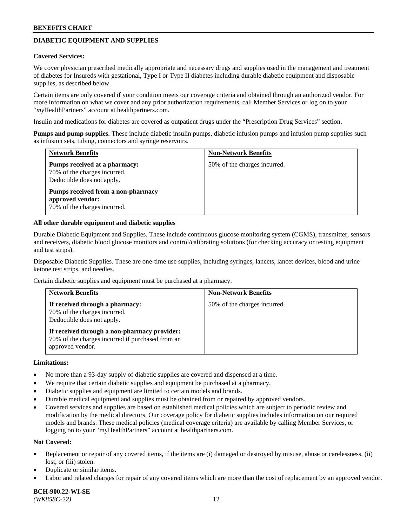# **DIABETIC EQUIPMENT AND SUPPLIES**

#### **Covered Services:**

We cover physician prescribed medically appropriate and necessary drugs and supplies used in the management and treatment of diabetes for Insureds with gestational, Type I or Type II diabetes including durable diabetic equipment and disposable supplies, as described below.

Certain items are only covered if your condition meets our coverage criteria and obtained through an authorized vendor. For more information on what we cover and any prior authorization requirements, call Member Services or log on to your "*my*HealthPartners" account at [healthpartners.com.](http://www.healthpartners.com/)

Insulin and medications for diabetes are covered as outpatient drugs under the "Prescription Drug Services" section.

**Pumps and pump supplies.** These include diabetic insulin pumps, diabetic infusion pumps and infusion pump supplies such as infusion sets, tubing, connectors and syringe reservoirs.

| <b>Network Benefits</b>                                                                     | <b>Non-Network Benefits</b>  |
|---------------------------------------------------------------------------------------------|------------------------------|
| Pumps received at a pharmacy:<br>70% of the charges incurred.<br>Deductible does not apply. | 50% of the charges incurred. |
| Pumps received from a non-pharmacy<br>approved vendor:<br>70% of the charges incurred.      |                              |

#### **All other durable equipment and diabetic supplies**

Durable Diabetic Equipment and Supplies. These include continuous glucose monitoring system (CGMS), transmitter, sensors and receivers, diabetic blood glucose monitors and control/calibrating solutions (for checking accuracy or testing equipment and test strips).

Disposable Diabetic Supplies. These are one-time use supplies, including syringes, lancets, lancet devices, blood and urine ketone test strips, and needles.

Certain diabetic supplies and equipment must be purchased at a pharmacy.

| <b>Network Benefits</b>                                                                                              | <b>Non-Network Benefits</b>  |
|----------------------------------------------------------------------------------------------------------------------|------------------------------|
| If received through a pharmacy:<br>70% of the charges incurred.<br>Deductible does not apply.                        | 50% of the charges incurred. |
| If received through a non-pharmacy provider:<br>70% of the charges incurred if purchased from an<br>approved vendor. |                              |

#### **Limitations:**

- No more than a 93-day supply of diabetic supplies are covered and dispensed at a time.
- We require that certain diabetic supplies and equipment be purchased at a pharmacy.
- Diabetic supplies and equipment are limited to certain models and brands.
- Durable medical equipment and supplies must be obtained from or repaired by approved vendors.
- Covered services and supplies are based on established medical policies which are subject to periodic review and modification by the medical directors. Our coverage policy for diabetic supplies includes information on our required models and brands. These medical policies (medical coverage criteria) are available by calling Member Services, or logging on to your "myHealthPartners" account at [healthpartners.com.](http://www.healthpartners.com/)

#### **Not Covered:**

- Replacement or repair of any covered items, if the items are (i) damaged or destroyed by misuse, abuse or carelessness, (ii) lost; or (iii) stolen.
- Duplicate or similar items.
- Labor and related charges for repair of any covered items which are more than the cost of replacement by an approved vendor.

**BCH-900.22-WI-SE**  *(WK858C-22)* 12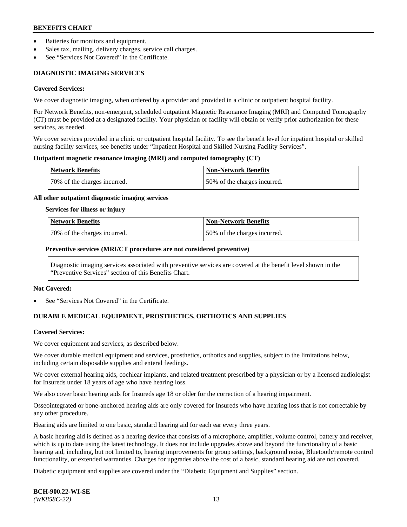- Batteries for monitors and equipment.
- Sales tax, mailing, delivery charges, service call charges.
- See "Services Not Covered" in the Certificate.

# **DIAGNOSTIC IMAGING SERVICES**

#### **Covered Services:**

We cover diagnostic imaging, when ordered by a provider and provided in a clinic or outpatient hospital facility.

For Network Benefits, non-emergent, scheduled outpatient Magnetic Resonance Imaging (MRI) and Computed Tomography (CT) must be provided at a designated facility. Your physician or facility will obtain or verify prior authorization for these services, as needed.

We cover services provided in a clinic or outpatient hospital facility. To see the benefit level for inpatient hospital or skilled nursing facility services, see benefits under "Inpatient Hospital and Skilled Nursing Facility Services".

#### **Outpatient magnetic resonance imaging (MRI) and computed tomography (CT)**

| <b>Network Benefits</b>      | <b>Non-Network Benefits</b>  |
|------------------------------|------------------------------|
| 70% of the charges incurred. | 50% of the charges incurred. |

#### **All other outpatient diagnostic imaging services**

#### **Services for illness or injury**

| Network Benefits             | <b>Non-Network Benefits</b>  |
|------------------------------|------------------------------|
| 70% of the charges incurred. | 50% of the charges incurred. |

#### **Preventive services (MRI/CT procedures are not considered preventive)**

Diagnostic imaging services associated with preventive services are covered at the benefit level shown in the "Preventive Services" section of this Benefits Chart.

#### **Not Covered:**

See "Services Not Covered" in the Certificate.

# **DURABLE MEDICAL EQUIPMENT, PROSTHETICS, ORTHOTICS AND SUPPLIES**

#### **Covered Services:**

We cover equipment and services, as described below.

We cover durable medical equipment and services, prosthetics, orthotics and supplies, subject to the limitations below, including certain disposable supplies and enteral feedings.

We cover external hearing aids, cochlear implants, and related treatment prescribed by a physician or by a licensed audiologist for Insureds under 18 years of age who have hearing loss.

We also cover basic hearing aids for Insureds age 18 or older for the correction of a hearing impairment.

Osseointegrated or bone-anchored hearing aids are only covered for Insureds who have hearing loss that is not correctable by any other procedure.

Hearing aids are limited to one basic, standard hearing aid for each ear every three years.

A basic hearing aid is defined as a hearing device that consists of a microphone, amplifier, volume control, battery and receiver, which is up to date using the latest technology. It does not include upgrades above and beyond the functionality of a basic hearing aid, including, but not limited to, hearing improvements for group settings, background noise, Bluetooth/remote control functionality, or extended warranties. Charges for upgrades above the cost of a basic, standard hearing aid are not covered.

Diabetic equipment and supplies are covered under the "Diabetic Equipment and Supplies" section.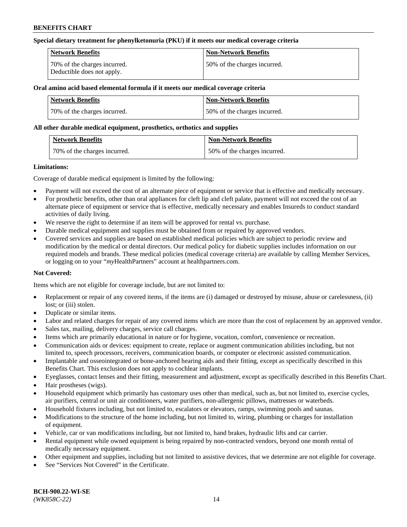#### **Special dietary treatment for phenylketonuria (PKU) if it meets our medical coverage criteria**

| Network Benefits                                           | <b>Non-Network Benefits</b>  |
|------------------------------------------------------------|------------------------------|
| 70% of the charges incurred.<br>Deductible does not apply. | 50% of the charges incurred. |

## **Oral amino acid based elemental formula if it meets our medical coverage criteria**

| Network Benefits             | <b>Non-Network Benefits</b>  |
|------------------------------|------------------------------|
| 70% of the charges incurred. | 50% of the charges incurred. |

#### **All other durable medical equipment, prosthetics, orthotics and supplies**

| <b>Network Benefits</b>      | <b>Non-Network Benefits</b>  |
|------------------------------|------------------------------|
| 70% of the charges incurred. | 50% of the charges incurred. |

#### **Limitations:**

Coverage of durable medical equipment is limited by the following:

- Payment will not exceed the cost of an alternate piece of equipment or service that is effective and medically necessary.
- For prosthetic benefits, other than oral appliances for cleft lip and cleft palate, payment will not exceed the cost of an alternate piece of equipment or service that is effective, medically necessary and enables Insureds to conduct standard activities of daily living.
- We reserve the right to determine if an item will be approved for rental vs. purchase.
- Durable medical equipment and supplies must be obtained from or repaired by approved vendors.
- Covered services and supplies are based on established medical policies which are subject to periodic review and modification by the medical or dental directors. Our medical policy for diabetic supplies includes information on our required models and brands. These medical policies (medical coverage criteria) are available by calling Member Services, or logging on to your "*my*HealthPartners" account a[t healthpartners.com.](http://www.healthpartners.com/)

## **Not Covered:**

Items which are not eligible for coverage include, but are not limited to:

- Replacement or repair of any covered items, if the items are (i) damaged or destroyed by misuse, abuse or carelessness, (ii) lost; or (iii) stolen.
- Duplicate or similar items.
- Labor and related charges for repair of any covered items which are more than the cost of replacement by an approved vendor.
- Sales tax, mailing, delivery charges, service call charges.
- Items which are primarily educational in nature or for hygiene, vocation, comfort, convenience or recreation.
- Communication aids or devices: equipment to create, replace or augment communication abilities including, but not limited to, speech processors, receivers, communication boards, or computer or electronic assisted communication.
- Implantable and osseointegrated or bone-anchored hearing aids and their fitting, except as specifically described in this Benefits Chart. This exclusion does not apply to cochlear implants.
- Eyeglasses, contact lenses and their fitting, measurement and adjustment, except as specifically described in this Benefits Chart.
- Hair prostheses (wigs).
- Household equipment which primarily has customary uses other than medical, such as, but not limited to, exercise cycles, air purifiers, central or unit air conditioners, water purifiers, non-allergenic pillows, mattresses or waterbeds.
- Household fixtures including, but not limited to, escalators or elevators, ramps, swimming pools and saunas.
- Modifications to the structure of the home including, but not limited to, wiring, plumbing or charges for installation of equipment.
- Vehicle, car or van modifications including, but not limited to, hand brakes, hydraulic lifts and car carrier.
- Rental equipment while owned equipment is being repaired by non-contracted vendors, beyond one month rental of medically necessary equipment.
- Other equipment and supplies, including but not limited to assistive devices, that we determine are not eligible for coverage.
- See "Services Not Covered" in the Certificate.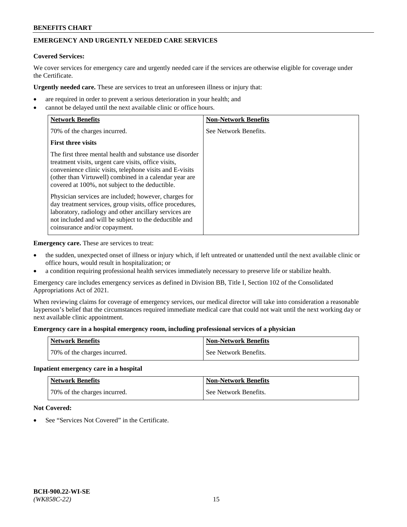# **EMERGENCY AND URGENTLY NEEDED CARE SERVICES**

# **Covered Services:**

We cover services for emergency care and urgently needed care if the services are otherwise eligible for coverage under the Certificate.

**Urgently needed care.** These are services to treat an unforeseen illness or injury that:

- are required in order to prevent a serious deterioration in your health; and
- cannot be delayed until the next available clinic or office hours.

| <b>Network Benefits</b>                                                                                                                                                                                                                                                                   | <b>Non-Network Benefits</b> |
|-------------------------------------------------------------------------------------------------------------------------------------------------------------------------------------------------------------------------------------------------------------------------------------------|-----------------------------|
| 70% of the charges incurred.                                                                                                                                                                                                                                                              | See Network Benefits.       |
| <b>First three visits</b>                                                                                                                                                                                                                                                                 |                             |
| The first three mental health and substance use disorder<br>treatment visits, urgent care visits, office visits,<br>convenience clinic visits, telephone visits and E-visits<br>(other than Virtuwell) combined in a calendar year are<br>covered at 100%, not subject to the deductible. |                             |
| Physician services are included; however, charges for<br>day treatment services, group visits, office procedures,<br>laboratory, radiology and other ancillary services are<br>not included and will be subject to the deductible and<br>coinsurance and/or copayment.                    |                             |

**Emergency care.** These are services to treat:

- the sudden, unexpected onset of illness or injury which, if left untreated or unattended until the next available clinic or office hours, would result in hospitalization; or
- a condition requiring professional health services immediately necessary to preserve life or stabilize health.

Emergency care includes emergency services as defined in Division BB, Title I, Section 102 of the Consolidated Appropriations Act of 2021.

When reviewing claims for coverage of emergency services, our medical director will take into consideration a reasonable layperson's belief that the circumstances required immediate medical care that could not wait until the next working day or next available clinic appointment.

#### **Emergency care in a hospital emergency room, including professional services of a physician**

| <b>Network Benefits</b>      | <b>Non-Network Benefits</b> |
|------------------------------|-----------------------------|
| 70% of the charges incurred. | See Network Benefits.       |

#### **Inpatient emergency care in a hospital**

| <b>Network Benefits</b>      | <b>Non-Network Benefits</b> |
|------------------------------|-----------------------------|
| 70% of the charges incurred. | See Network Benefits.       |

## **Not Covered:**

See "Services Not Covered" in the Certificate.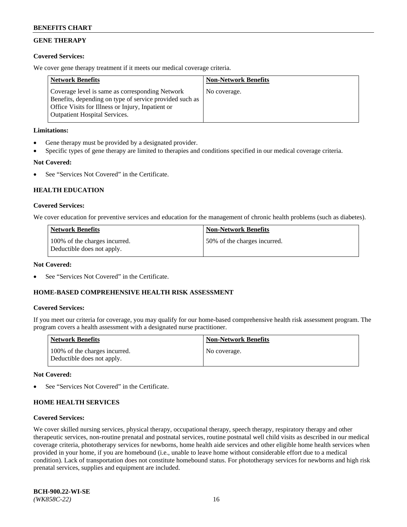# **GENE THERAPY**

## **Covered Services:**

We cover gene therapy treatment if it meets our medical coverage criteria.

| <b>Network Benefits</b>                                                                                                                                                                                 | <b>Non-Network Benefits</b> |
|---------------------------------------------------------------------------------------------------------------------------------------------------------------------------------------------------------|-----------------------------|
| Coverage level is same as corresponding Network<br>Benefits, depending on type of service provided such as<br>Office Visits for Illness or Injury, Inpatient or<br><b>Outpatient Hospital Services.</b> | No coverage.                |

## **Limitations:**

- Gene therapy must be provided by a designated provider.
- Specific types of gene therapy are limited to therapies and conditions specified in our medical coverage criteria.

# **Not Covered:**

See "Services Not Covered" in the Certificate.

# **HEALTH EDUCATION**

## **Covered Services:**

We cover education for preventive services and education for the management of chronic health problems (such as diabetes).

| <b>Network Benefits</b>                                     | <b>Non-Network Benefits</b>  |
|-------------------------------------------------------------|------------------------------|
| 100% of the charges incurred.<br>Deductible does not apply. | 50% of the charges incurred. |

#### **Not Covered:**

See "Services Not Covered" in the Certificate.

## **HOME-BASED COMPREHENSIVE HEALTH RISK ASSESSMENT**

## **Covered Services:**

If you meet our criteria for coverage, you may qualify for our home-based comprehensive health risk assessment program. The program covers a health assessment with a designated nurse practitioner.

| <b>Network Benefits</b>                                     | <b>Non-Network Benefits</b> |
|-------------------------------------------------------------|-----------------------------|
| 100% of the charges incurred.<br>Deductible does not apply. | No coverage.                |

## **Not Covered:**

See "Services Not Covered" in the Certificate.

## **HOME HEALTH SERVICES**

## **Covered Services:**

We cover skilled nursing services, physical therapy, occupational therapy, speech therapy, respiratory therapy and other therapeutic services, non-routine prenatal and postnatal services, routine postnatal well child visits as described in our medical coverage criteria, phototherapy services for newborns, home health aide services and other eligible home health services when provided in your home, if you are homebound (i.e., unable to leave home without considerable effort due to a medical condition). Lack of transportation does not constitute homebound status. For phototherapy services for newborns and high risk prenatal services, supplies and equipment are included.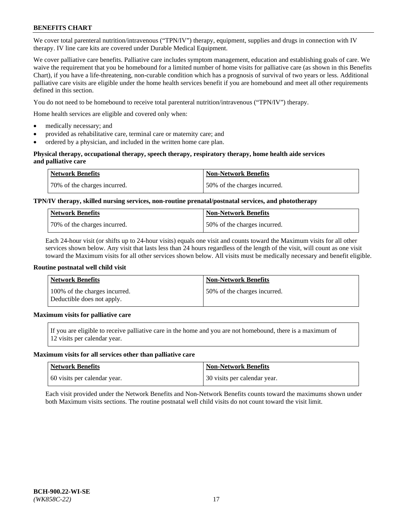We cover total parenteral nutrition/intravenous ("TPN/IV") therapy, equipment, supplies and drugs in connection with IV therapy. IV line care kits are covered under Durable Medical Equipment.

We cover palliative care benefits. Palliative care includes symptom management, education and establishing goals of care. We waive the requirement that you be homebound for a limited number of home visits for palliative care (as shown in this Benefits Chart), if you have a life-threatening, non-curable condition which has a prognosis of survival of two years or less. Additional palliative care visits are eligible under the home health services benefit if you are homebound and meet all other requirements defined in this section.

You do not need to be homebound to receive total parenteral nutrition/intravenous ("TPN/IV") therapy.

Home health services are eligible and covered only when:

- medically necessary; and
- provided as rehabilitative care, terminal care or maternity care; and
- ordered by a physician, and included in the written home care plan.

#### **Physical therapy, occupational therapy, speech therapy, respiratory therapy, home health aide services and palliative care**

| <b>Network Benefits</b>      | <b>Non-Network Benefits</b>  |
|------------------------------|------------------------------|
| 70% of the charges incurred. | 50% of the charges incurred. |

# **TPN/IV therapy, skilled nursing services, non-routine prenatal/postnatal services, and phototherapy**

| <b>Network Benefits</b>      | <b>Non-Network Benefits</b>  |
|------------------------------|------------------------------|
| 70% of the charges incurred. | 50% of the charges incurred. |

Each 24-hour visit (or shifts up to 24-hour visits) equals one visit and counts toward the Maximum visits for all other services shown below. Any visit that lasts less than 24 hours regardless of the length of the visit, will count as one visit toward the Maximum visits for all other services shown below. All visits must be medically necessary and benefit eligible.

#### **Routine postnatal well child visit**

| <b>Network Benefits</b>                                     | <b>Non-Network Benefits</b>  |
|-------------------------------------------------------------|------------------------------|
| 100% of the charges incurred.<br>Deductible does not apply. | 50% of the charges incurred. |

# **Maximum visits for palliative care**

If you are eligible to receive palliative care in the home and you are not homebound, there is a maximum of 12 visits per calendar year.

#### **Maximum visits for all services other than palliative care**

| Network Benefits             | <b>Non-Network Benefits</b>  |
|------------------------------|------------------------------|
| 60 visits per calendar year. | 30 visits per calendar year. |

Each visit provided under the Network Benefits and Non-Network Benefits counts toward the maximums shown under both Maximum visits sections. The routine postnatal well child visits do not count toward the visit limit.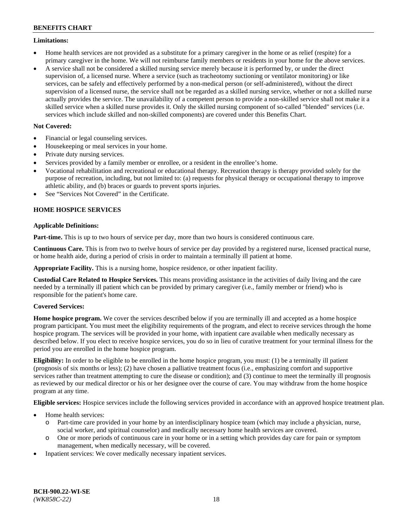#### **Limitations:**

- Home health services are not provided as a substitute for a primary caregiver in the home or as relief (respite) for a primary caregiver in the home. We will not reimburse family members or residents in your home for the above services.
- A service shall not be considered a skilled nursing service merely because it is performed by, or under the direct supervision of, a licensed nurse. Where a service (such as tracheotomy suctioning or ventilator monitoring) or like services, can be safely and effectively performed by a non-medical person (or self-administered), without the direct supervision of a licensed nurse, the service shall not be regarded as a skilled nursing service, whether or not a skilled nurse actually provides the service. The unavailability of a competent person to provide a non-skilled service shall not make it a skilled service when a skilled nurse provides it. Only the skilled nursing component of so-called "blended" services (i.e. services which include skilled and non-skilled components) are covered under this Benefits Chart.

## **Not Covered:**

- Financial or legal counseling services.
- Housekeeping or meal services in your home.
- Private duty nursing services.
- Services provided by a family member or enrollee, or a resident in the enrollee's home.
- Vocational rehabilitation and recreational or educational therapy. Recreation therapy is therapy provided solely for the purpose of recreation, including, but not limited to: (a) requests for physical therapy or occupational therapy to improve athletic ability, and (b) braces or guards to prevent sports injuries.
- See "Services Not Covered" in the Certificate.

# **HOME HOSPICE SERVICES**

## **Applicable Definitions:**

**Part-time.** This is up to two hours of service per day, more than two hours is considered continuous care.

**Continuous Care.** This is from two to twelve hours of service per day provided by a registered nurse, licensed practical nurse, or home health aide, during a period of crisis in order to maintain a terminally ill patient at home.

**Appropriate Facility.** This is a nursing home, hospice residence, or other inpatient facility.

**Custodial Care Related to Hospice Services.** This means providing assistance in the activities of daily living and the care needed by a terminally ill patient which can be provided by primary caregiver (i.e., family member or friend) who is responsible for the patient's home care.

## **Covered Services:**

**Home hospice program.** We cover the services described below if you are terminally ill and accepted as a home hospice program participant. You must meet the eligibility requirements of the program, and elect to receive services through the home hospice program. The services will be provided in your home, with inpatient care available when medically necessary as described below. If you elect to receive hospice services, you do so in lieu of curative treatment for your terminal illness for the period you are enrolled in the home hospice program.

**Eligibility:** In order to be eligible to be enrolled in the home hospice program, you must: (1) be a terminally ill patient (prognosis of six months or less); (2) have chosen a palliative treatment focus (i.e., emphasizing comfort and supportive services rather than treatment attempting to cure the disease or condition); and (3) continue to meet the terminally ill prognosis as reviewed by our medical director or his or her designee over the course of care. You may withdraw from the home hospice program at any time.

**Eligible services:** Hospice services include the following services provided in accordance with an approved hospice treatment plan.

- Home health services:
	- o Part-time care provided in your home by an interdisciplinary hospice team (which may include a physician, nurse, social worker, and spiritual counselor) and medically necessary home health services are covered.
	- o One or more periods of continuous care in your home or in a setting which provides day care for pain or symptom management, when medically necessary, will be covered.
- Inpatient services: We cover medically necessary inpatient services.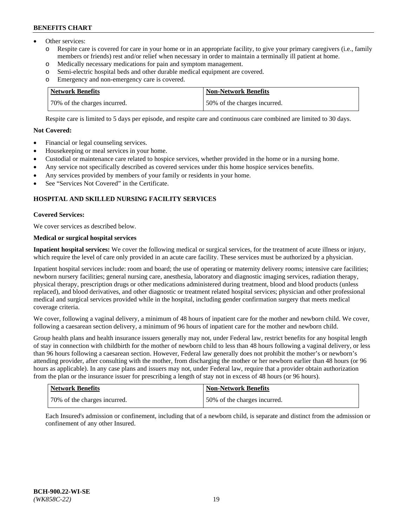- Other services:
	- Respite care is covered for care in your home or in an appropriate facility, to give your primary caregivers (i.e., family members or friends) rest and/or relief when necessary in order to maintain a terminally ill patient at home.
	- o Medically necessary medications for pain and symptom management.
	- o Semi-electric hospital beds and other durable medical equipment are covered.
	- Emergency and non-emergency care is covered.

| Network Benefits             | Non-Network Benefits         |
|------------------------------|------------------------------|
| 70% of the charges incurred. | 50% of the charges incurred. |

Respite care is limited to 5 days per episode, and respite care and continuous care combined are limited to 30 days.

# **Not Covered:**

- Financial or legal counseling services.
- Housekeeping or meal services in your home.
- Custodial or maintenance care related to hospice services, whether provided in the home or in a nursing home.
- Any service not specifically described as covered services under this home hospice services benefits.
- Any services provided by members of your family or residents in your home.
- See "Services Not Covered" in the Certificate.

## **HOSPITAL AND SKILLED NURSING FACILITY SERVICES**

#### **Covered Services:**

We cover services as described below.

# **Medical or surgical hospital services**

**Inpatient hospital services:** We cover the following medical or surgical services, for the treatment of acute illness or injury, which require the level of care only provided in an acute care facility. These services must be authorized by a physician.

Inpatient hospital services include: room and board; the use of operating or maternity delivery rooms; intensive care facilities; newborn nursery facilities; general nursing care, anesthesia, laboratory and diagnostic imaging services, radiation therapy, physical therapy, prescription drugs or other medications administered during treatment, blood and blood products (unless replaced), and blood derivatives, and other diagnostic or treatment related hospital services; physician and other professional medical and surgical services provided while in the hospital, including gender confirmation surgery that meets medical coverage criteria.

We cover, following a vaginal delivery, a minimum of 48 hours of inpatient care for the mother and newborn child. We cover, following a caesarean section delivery, a minimum of 96 hours of inpatient care for the mother and newborn child.

Group health plans and health insurance issuers generally may not, under Federal law, restrict benefits for any hospital length of stay in connection with childbirth for the mother of newborn child to less than 48 hours following a vaginal delivery, or less than 96 hours following a caesarean section. However, Federal law generally does not prohibit the mother's or newborn's attending provider, after consulting with the mother, from discharging the mother or her newborn earlier than 48 hours (or 96 hours as applicable). In any case plans and issuers may not, under Federal law, require that a provider obtain authorization from the plan or the insurance issuer for prescribing a length of stay not in excess of 48 hours (or 96 hours).

| <b>Network Benefits</b>      | <b>Non-Network Benefits</b>  |
|------------------------------|------------------------------|
| 70% of the charges incurred. | 50% of the charges incurred. |

Each Insured's admission or confinement, including that of a newborn child, is separate and distinct from the admission or confinement of any other Insured.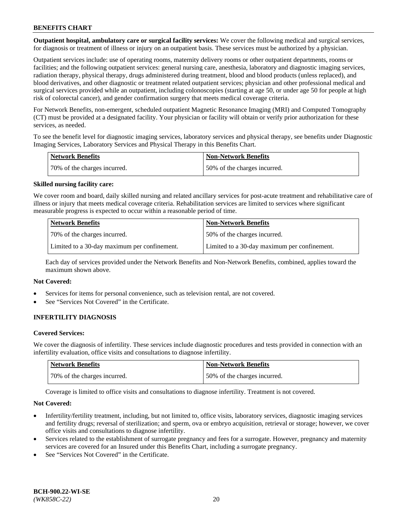**Outpatient hospital, ambulatory care or surgical facility services:** We cover the following medical and surgical services, for diagnosis or treatment of illness or injury on an outpatient basis. These services must be authorized by a physician.

Outpatient services include: use of operating rooms, maternity delivery rooms or other outpatient departments, rooms or facilities; and the following outpatient services: general nursing care, anesthesia, laboratory and diagnostic imaging services, radiation therapy, physical therapy, drugs administered during treatment, blood and blood products (unless replaced), and blood derivatives, and other diagnostic or treatment related outpatient services; physician and other professional medical and surgical services provided while an outpatient, including colonoscopies (starting at age 50, or under age 50 for people at high risk of colorectal cancer), and gender confirmation surgery that meets medical coverage criteria.

For Network Benefits, non-emergent, scheduled outpatient Magnetic Resonance Imaging (MRI) and Computed Tomography (CT) must be provided at a designated facility. Your physician or facility will obtain or verify prior authorization for these services, as needed.

To see the benefit level for diagnostic imaging services, laboratory services and physical therapy, see benefits under Diagnostic Imaging Services, Laboratory Services and Physical Therapy in this Benefits Chart.

| <b>Network Benefits</b>       | <b>Non-Network Benefits</b>  |
|-------------------------------|------------------------------|
| 170% of the charges incurred. | 50% of the charges incurred. |

#### **Skilled nursing facility care:**

We cover room and board, daily skilled nursing and related ancillary services for post-acute treatment and rehabilitative care of illness or injury that meets medical coverage criteria. Rehabilitation services are limited to services where significant measurable progress is expected to occur within a reasonable period of time.

| <b>Network Benefits</b> |                                              | <b>Non-Network Benefits</b>                  |
|-------------------------|----------------------------------------------|----------------------------------------------|
|                         | 70\% of the charges incurred.                | 50% of the charges incurred.                 |
|                         | Limited to a 30-day maximum per confinement. | Limited to a 30-day maximum per confinement. |

Each day of services provided under the Network Benefits and Non-Network Benefits, combined, applies toward the maximum shown above.

## **Not Covered:**

- Services for items for personal convenience, such as television rental, are not covered.
- See "Services Not Covered" in the Certificate.

## **INFERTILITY DIAGNOSIS**

#### **Covered Services:**

We cover the diagnosis of infertility. These services include diagnostic procedures and tests provided in connection with an infertility evaluation, office visits and consultations to diagnose infertility.

| Network Benefits             | <b>Non-Network Benefits</b>  |
|------------------------------|------------------------------|
| 70% of the charges incurred. | 50% of the charges incurred. |

Coverage is limited to office visits and consultations to diagnose infertility. Treatment is not covered.

#### **Not Covered:**

- Infertility/fertility treatment, including, but not limited to, office visits, laboratory services, diagnostic imaging services and fertility drugs; reversal of sterilization; and sperm, ova or embryo acquisition, retrieval or storage; however, we cover office visits and consultations to diagnose infertility.
- Services related to the establishment of surrogate pregnancy and fees for a surrogate. However, pregnancy and maternity services are covered for an Insured under this Benefits Chart, including a surrogate pregnancy.
- See "Services Not Covered" in the Certificate.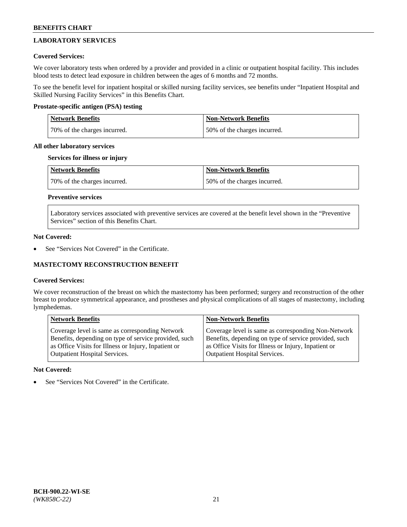# **LABORATORY SERVICES**

## **Covered Services:**

We cover laboratory tests when ordered by a provider and provided in a clinic or outpatient hospital facility. This includes blood tests to detect lead exposure in children between the ages of 6 months and 72 months.

To see the benefit level for inpatient hospital or skilled nursing facility services, see benefits under "Inpatient Hospital and Skilled Nursing Facility Services" in this Benefits Chart.

## **Prostate-specific antigen (PSA) testing**

| <b>Network Benefits</b>       | <b>Non-Network Benefits</b>  |
|-------------------------------|------------------------------|
| 170% of the charges incurred. | 50% of the charges incurred. |

## **All other laboratory services**

## **Services for illness or injury**

| Network Benefits             | <b>Non-Network Benefits</b>  |
|------------------------------|------------------------------|
| 70% of the charges incurred. | 50% of the charges incurred. |

# **Preventive services**

Laboratory services associated with preventive services are covered at the benefit level shown in the "Preventive Services" section of this Benefits Chart.

#### **Not Covered:**

See "Services Not Covered" in the Certificate.

## **MASTECTOMY RECONSTRUCTION BENEFIT**

## **Covered Services:**

We cover reconstruction of the breast on which the mastectomy has been performed; surgery and reconstruction of the other breast to produce symmetrical appearance, and prostheses and physical complications of all stages of mastectomy, including lymphedemas.

| <b>Network Benefits</b>                               | <b>Non-Network Benefits</b>                           |
|-------------------------------------------------------|-------------------------------------------------------|
| Coverage level is same as corresponding Network       | Coverage level is same as corresponding Non-Network   |
| Benefits, depending on type of service provided, such | Benefits, depending on type of service provided, such |
| as Office Visits for Illness or Injury, Inpatient or  | as Office Visits for Illness or Injury, Inpatient or  |
| <b>Outpatient Hospital Services.</b>                  | <b>Outpatient Hospital Services.</b>                  |

## **Not Covered:**

See "Services Not Covered" in the Certificate.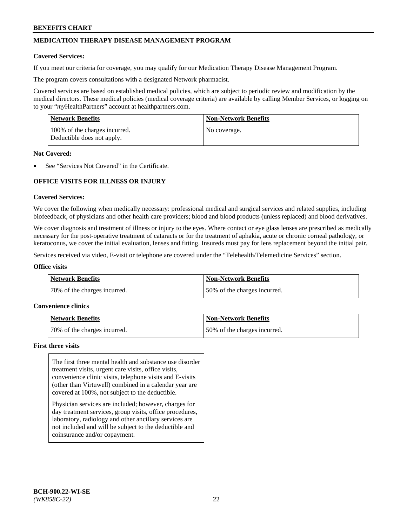# **MEDICATION THERAPY DISEASE MANAGEMENT PROGRAM**

#### **Covered Services:**

If you meet our criteria for coverage, you may qualify for our Medication Therapy Disease Management Program.

The program covers consultations with a designated Network pharmacist.

Covered services are based on established medical policies, which are subject to periodic review and modification by the medical directors. These medical policies (medical coverage criteria) are available by calling Member Services, or logging on to your "*my*HealthPartners" account at [healthpartners.com.](http://www.healthpartners.com/)

| <b>Network Benefits</b>                                     | <b>Non-Network Benefits</b> |
|-------------------------------------------------------------|-----------------------------|
| 100% of the charges incurred.<br>Deductible does not apply. | No coverage.                |

#### **Not Covered:**

See "Services Not Covered" in the Certificate.

# **OFFICE VISITS FOR ILLNESS OR INJURY**

#### **Covered Services:**

We cover the following when medically necessary: professional medical and surgical services and related supplies, including biofeedback, of physicians and other health care providers; blood and blood products (unless replaced) and blood derivatives.

We cover diagnosis and treatment of illness or injury to the eyes. Where contact or eye glass lenses are prescribed as medically necessary for the post-operative treatment of cataracts or for the treatment of aphakia, acute or chronic corneal pathology, or keratoconus, we cover the initial evaluation, lenses and fitting. Insureds must pay for lens replacement beyond the initial pair.

Services received via video, E-visit or telephone are covered under the "Telehealth/Telemedicine Services" section.

#### **Office visits**

| <b>Network Benefits</b>      | <b>Non-Network Benefits</b>  |
|------------------------------|------------------------------|
| 70% of the charges incurred. | 50% of the charges incurred. |

#### **Convenience clinics**

| Network Benefits             | <b>Non-Network Benefits</b>  |
|------------------------------|------------------------------|
| 70% of the charges incurred. | 50% of the charges incurred. |

#### **First three visits**

The first three mental health and substance use disorder treatment visits, urgent care visits, office visits, convenience clinic visits, telephone visits and E-visits (other than Virtuwell) combined in a calendar year are covered at 100%, not subject to the deductible.

Physician services are included; however, charges for day treatment services, group visits, office procedures, laboratory, radiology and other ancillary services are not included and will be subject to the deductible and coinsurance and/or copayment.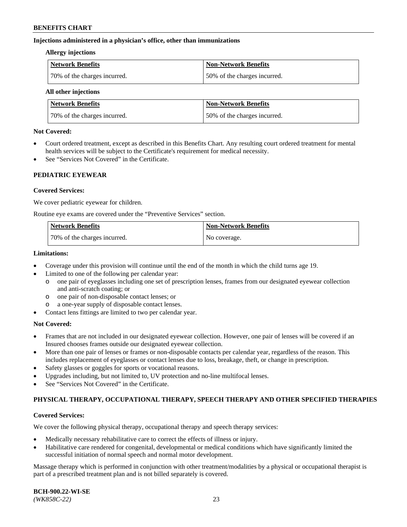#### **Injections administered in a physician's office, other than immunizations**

#### **Allergy injections**

| <b>Network Benefits</b>      | Non-Network Benefits         |
|------------------------------|------------------------------|
| 70% of the charges incurred. | 50% of the charges incurred. |

#### **All other injections**

| <b>Network Benefits</b>      | <b>Non-Network Benefits</b>  |
|------------------------------|------------------------------|
| 70% of the charges incurred. | 50% of the charges incurred. |

#### **Not Covered:**

- Court ordered treatment, except as described in this Benefits Chart. Any resulting court ordered treatment for mental health services will be subject to the Certificate's requirement for medical necessity.
- See "Services Not Covered" in the Certificate.

## **PEDIATRIC EYEWEAR**

#### **Covered Services:**

We cover pediatric eyewear for children.

Routine eye exams are covered under the "Preventive Services" section.

| <b>Network Benefits</b>      | <b>Non-Network Benefits</b> |
|------------------------------|-----------------------------|
| 70% of the charges incurred. | No coverage.                |

#### **Limitations:**

- Coverage under this provision will continue until the end of the month in which the child turns age 19.
- Limited to one of the following per calendar year:
	- o one pair of eyeglasses including one set of prescription lenses, frames from our designated eyewear collection and anti-scratch coating; or
	- o one pair of non-disposable contact lenses; or
	- o a one-year supply of disposable contact lenses.
- Contact lens fittings are limited to two per calendar year.

## **Not Covered:**

- Frames that are not included in our designated eyewear collection. However, one pair of lenses will be covered if an Insured chooses frames outside our designated eyewear collection.
- More than one pair of lenses or frames or non-disposable contacts per calendar year, regardless of the reason. This includes replacement of eyeglasses or contact lenses due to loss, breakage, theft, or change in prescription.
- Safety glasses or goggles for sports or vocational reasons.
- Upgrades including, but not limited to, UV protection and no-line multifocal lenses.
- See "Services Not Covered" in the Certificate.

## **PHYSICAL THERAPY, OCCUPATIONAL THERAPY, SPEECH THERAPY AND OTHER SPECIFIED THERAPIES**

## **Covered Services:**

We cover the following physical therapy, occupational therapy and speech therapy services:

- Medically necessary rehabilitative care to correct the effects of illness or injury.
- Habilitative care rendered for congenital, developmental or medical conditions which have significantly limited the successful initiation of normal speech and normal motor development.

Massage therapy which is performed in conjunction with other treatment/modalities by a physical or occupational therapist is part of a prescribed treatment plan and is not billed separately is covered.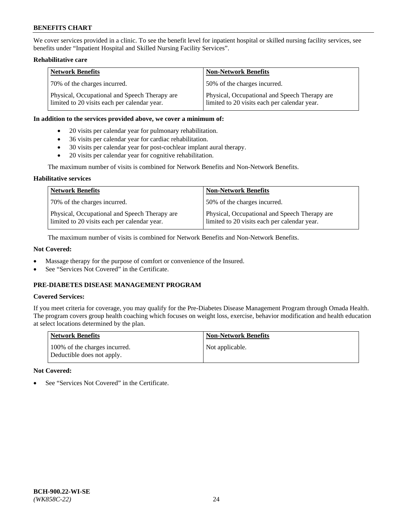We cover services provided in a clinic. To see the benefit level for inpatient hospital or skilled nursing facility services, see benefits under "Inpatient Hospital and Skilled Nursing Facility Services".

## **Rehabilitative care**

| <b>Network Benefits</b>                                                                       | <b>Non-Network Benefits</b>                                                                   |
|-----------------------------------------------------------------------------------------------|-----------------------------------------------------------------------------------------------|
| 70% of the charges incurred.                                                                  | 50% of the charges incurred.                                                                  |
| Physical, Occupational and Speech Therapy are<br>limited to 20 visits each per calendar year. | Physical, Occupational and Speech Therapy are<br>limited to 20 visits each per calendar year. |

#### **In addition to the services provided above, we cover a minimum of:**

- 20 visits per calendar year for pulmonary rehabilitation.
- 36 visits per calendar year for cardiac rehabilitation.
- 30 visits per calendar year for post-cochlear implant aural therapy.
- 20 visits per calendar year for cognitive rehabilitation.

The maximum number of visits is combined for Network Benefits and Non-Network Benefits.

#### **Habilitative services**

| <b>Network Benefits</b>                                                                       | <b>Non-Network Benefits</b>                                                                   |
|-----------------------------------------------------------------------------------------------|-----------------------------------------------------------------------------------------------|
| 70% of the charges incurred.                                                                  | 50% of the charges incurred.                                                                  |
| Physical, Occupational and Speech Therapy are<br>limited to 20 visits each per calendar year. | Physical, Occupational and Speech Therapy are<br>limited to 20 visits each per calendar year. |

The maximum number of visits is combined for Network Benefits and Non-Network Benefits.

## **Not Covered:**

- Massage therapy for the purpose of comfort or convenience of the Insured.
- See "Services Not Covered" in the Certificate.

# **PRE-DIABETES DISEASE MANAGEMENT PROGRAM**

## **Covered Services:**

If you meet criteria for coverage, you may qualify for the Pre-Diabetes Disease Management Program through Omada Health. The program covers group health coaching which focuses on weight loss, exercise, behavior modification and health education at select locations determined by the plan.

| <b>Network Benefits</b>                                     | <b>Non-Network Benefits</b> |
|-------------------------------------------------------------|-----------------------------|
| 100% of the charges incurred.<br>Deductible does not apply. | Not applicable.             |

## **Not Covered:**

See "Services Not Covered" in the Certificate.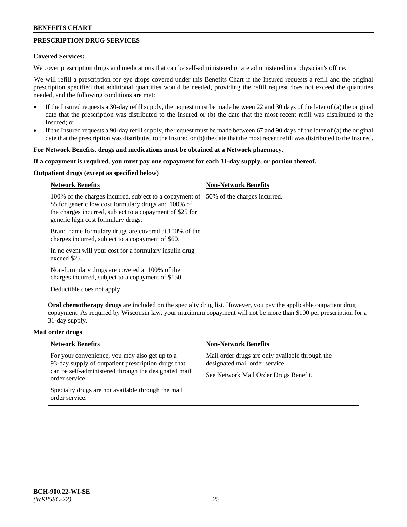# **PRESCRIPTION DRUG SERVICES**

#### **Covered Services:**

We cover prescription drugs and medications that can be self-administered or are administered in a physician's office.

We will refill a prescription for eye drops covered under this Benefits Chart if the Insured requests a refill and the original prescription specified that additional quantities would be needed, providing the refill request does not exceed the quantities needed, and the following conditions are met:

- If the Insured requests a 30-day refill supply, the request must be made between 22 and 30 days of the later of (a) the original date that the prescription was distributed to the Insured or (b) the date that the most recent refill was distributed to the Insured; or
- If the Insured requests a 90-day refill supply, the request must be made between 67 and 90 days of the later of (a) the original date that the prescription was distributed to the Insured or (b) the date that the most recent refill was distributed to the Insured.

#### **For Network Benefits, drugs and medications must be obtained at a Network pharmacy.**

#### **If a copayment is required, you must pay one copayment for each 31-day supply, or portion thereof.**

# **Outpatient drugs (except as specified below)**

| <b>Network Benefits</b>                                                                                                                                                                                           | <b>Non-Network Benefits</b>  |
|-------------------------------------------------------------------------------------------------------------------------------------------------------------------------------------------------------------------|------------------------------|
| 100% of the charges incurred, subject to a copayment of<br>\$5 for generic low cost formulary drugs and 100% of<br>the charges incurred, subject to a copayment of \$25 for<br>generic high cost formulary drugs. | 50% of the charges incurred. |
| Brand name formulary drugs are covered at 100% of the<br>charges incurred, subject to a copayment of \$60.                                                                                                        |                              |
| In no event will your cost for a formulary insulin drug<br>exceed \$25.                                                                                                                                           |                              |
| Non-formulary drugs are covered at 100% of the<br>charges incurred, subject to a copayment of \$150.                                                                                                              |                              |
| Deductible does not apply.                                                                                                                                                                                        |                              |

**Oral chemotherapy drugs** are included on the specialty drug list. However, you pay the applicable outpatient drug copayment. As required by Wisconsin law, your maximum copayment will not be more than \$100 per prescription for a 31-day supply.

## **Mail order drugs**

| <b>Network Benefits</b>                                                                                                                                                         | <b>Non-Network Benefits</b>                                                                                                |
|---------------------------------------------------------------------------------------------------------------------------------------------------------------------------------|----------------------------------------------------------------------------------------------------------------------------|
| For your convenience, you may also get up to a<br>93-day supply of outpatient prescription drugs that<br>can be self-administered through the designated mail<br>order service. | Mail order drugs are only available through the<br>designated mail order service.<br>See Network Mail Order Drugs Benefit. |
| Specialty drugs are not available through the mail<br>order service.                                                                                                            |                                                                                                                            |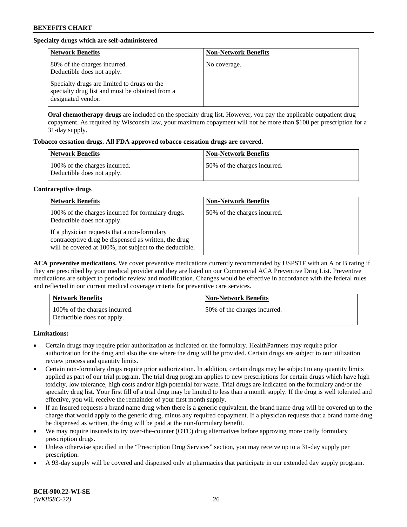# **Specialty drugs which are self-administered**

| <b>Network Benefits</b>                                                                                              | <b>Non-Network Benefits</b> |
|----------------------------------------------------------------------------------------------------------------------|-----------------------------|
| 80% of the charges incurred.<br>Deductible does not apply.                                                           | No coverage.                |
| Specialty drugs are limited to drugs on the<br>specialty drug list and must be obtained from a<br>designated vendor. |                             |

**Oral chemotherapy drugs** are included on the specialty drug list. However, you pay the applicable outpatient drug copayment. As required by Wisconsin law, your maximum copayment will not be more than \$100 per prescription for a 31-day supply.

## **Tobacco cessation drugs. All FDA approved tobacco cessation drugs are covered.**

| <b>Network Benefits</b>                                     | <b>Non-Network Benefits</b>  |
|-------------------------------------------------------------|------------------------------|
| 100% of the charges incurred.<br>Deductible does not apply. | 50% of the charges incurred. |

## **Contraceptive drugs**

| <b>Network Benefits</b>                                                                                                                                         | <b>Non-Network Benefits</b>  |
|-----------------------------------------------------------------------------------------------------------------------------------------------------------------|------------------------------|
| 100% of the charges incurred for formulary drugs.<br>Deductible does not apply.                                                                                 | 50% of the charges incurred. |
| If a physician requests that a non-formulary<br>contraceptive drug be dispensed as written, the drug<br>will be covered at 100%, not subject to the deductible. |                              |

**ACA preventive medications.** We cover preventive medications currently recommended by USPSTF with an A or B rating if they are prescribed by your medical provider and they are listed on our Commercial ACA Preventive Drug List. Preventive medications are subject to periodic review and modification. Changes would be effective in accordance with the federal rules and reflected in our current medical coverage criteria for preventive care services.

| <b>Network Benefits</b>                                     | <b>Non-Network Benefits</b>  |
|-------------------------------------------------------------|------------------------------|
| 100% of the charges incurred.<br>Deductible does not apply. | 50% of the charges incurred. |

**Limitations:**

- Certain drugs may require prior authorization as indicated on the formulary. HealthPartners may require prior authorization for the drug and also the site where the drug will be provided. Certain drugs are subject to our utilization review process and quantity limits.
- Certain non-formulary drugs require prior authorization. In addition, certain drugs may be subject to any quantity limits applied as part of our trial program. The trial drug program applies to new prescriptions for certain drugs which have high toxicity, low tolerance, high costs and/or high potential for waste. Trial drugs are indicated on the formulary and/or the specialty drug list. Your first fill of a trial drug may be limited to less than a month supply. If the drug is well tolerated and effective, you will receive the remainder of your first month supply.
- If an Insured requests a brand name drug when there is a generic equivalent, the brand name drug will be covered up to the charge that would apply to the generic drug, minus any required copayment. If a physician requests that a brand name drug be dispensed as written, the drug will be paid at the non-formulary benefit.
- We may require insureds to try over-the-counter (OTC) drug alternatives before approving more costly formulary prescription drugs.
- Unless otherwise specified in the "Prescription Drug Services" section, you may receive up to a 31-day supply per prescription.
- A 93-day supply will be covered and dispensed only at pharmacies that participate in our extended day supply program.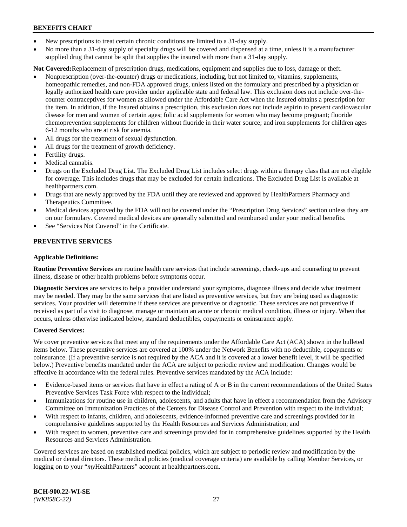- New prescriptions to treat certain chronic conditions are limited to a 31-day supply.
- No more than a 31-day supply of specialty drugs will be covered and dispensed at a time, unless it is a manufacturer supplied drug that cannot be split that supplies the insured with more than a 31-day supply.

**Not Covered:**Replacement of prescription drugs, medications, equipment and supplies due to loss, damage or theft.

- Nonprescription (over-the-counter) drugs or medications, including, but not limited to, vitamins, supplements, homeopathic remedies, and non-FDA approved drugs, unless listed on the formulary and prescribed by a physician or legally authorized health care provider under applicable state and federal law. This exclusion does not include over-thecounter contraceptives for women as allowed under the Affordable Care Act when the Insured obtains a prescription for the item. In addition, if the Insured obtains a prescription, this exclusion does not include aspirin to prevent cardiovascular disease for men and women of certain ages; folic acid supplements for women who may become pregnant; fluoride chemoprevention supplements for children without fluoride in their water source; and iron supplements for children ages 6-12 months who are at risk for anemia.
- All drugs for the treatment of sexual dysfunction.
- All drugs for the treatment of growth deficiency.
- Fertility drugs.
- Medical cannabis.
- Drugs on the Excluded Drug List. The Excluded Drug List includes select drugs within a therapy class that are not eligible for coverage. This includes drugs that may be excluded for certain indications. The Excluded Drug List is available at [healthpartners.com.](http://www.healthpartners.com/)
- Drugs that are newly approved by the FDA until they are reviewed and approved by HealthPartners Pharmacy and Therapeutics Committee.
- Medical devices approved by the FDA will not be covered under the "Prescription Drug Services" section unless they are on our formulary. Covered medical devices are generally submitted and reimbursed under your medical benefits.
- See "Services Not Covered" in the Certificate.

## **PREVENTIVE SERVICES**

#### **Applicable Definitions:**

**Routine Preventive Services** are routine health care services that include screenings, check-ups and counseling to prevent illness, disease or other health problems before symptoms occur.

**Diagnostic Services** are services to help a provider understand your symptoms, diagnose illness and decide what treatment may be needed. They may be the same services that are listed as preventive services, but they are being used as diagnostic services. Your provider will determine if these services are preventive or diagnostic. These services are not preventive if received as part of a visit to diagnose, manage or maintain an acute or chronic medical condition, illness or injury. When that occurs, unless otherwise indicated below, standard deductibles, copayments or coinsurance apply.

#### **Covered Services:**

We cover preventive services that meet any of the requirements under the Affordable Care Act (ACA) shown in the bulleted items below. These preventive services are covered at 100% under the Network Benefits with no deductible, copayments or coinsurance. (If a preventive service is not required by the ACA and it is covered at a lower benefit level, it will be specified below.) Preventive benefits mandated under the ACA are subject to periodic review and modification. Changes would be effective in accordance with the federal rules. Preventive services mandated by the ACA include:

- Evidence-based items or services that have in effect a rating of A or B in the current recommendations of the United States Preventive Services Task Force with respect to the individual;
- Immunizations for routine use in children, adolescents, and adults that have in effect a recommendation from the Advisory Committee on Immunization Practices of the Centers for Disease Control and Prevention with respect to the individual;
- With respect to infants, children, and adolescents, evidence-informed preventive care and screenings provided for in comprehensive guidelines supported by the Health Resources and Services Administration; and
- With respect to women, preventive care and screenings provided for in comprehensive guidelines supported by the Health Resources and Services Administration.

Covered services are based on established medical policies, which are subject to periodic review and modification by the medical or dental directors. These medical policies (medical coverage criteria) are available by calling Member Services, or logging on to your "*my*HealthPartners" account at [healthpartners.com.](https://www.healthpartners.com/hp/index.html)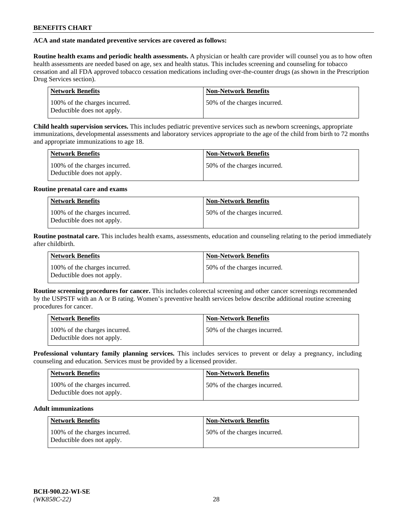## **ACA and state mandated preventive services are covered as follows:**

**Routine health exams and periodic health assessments.** A physician or health care provider will counsel you as to how often health assessments are needed based on age, sex and health status. This includes screening and counseling for tobacco cessation and all FDA approved tobacco cessation medications including over-the-counter drugs (as shown in the Prescription Drug Services section).

| <b>Network Benefits</b>                                     | <b>Non-Network Benefits</b>   |
|-------------------------------------------------------------|-------------------------------|
| 100% of the charges incurred.<br>Deductible does not apply. | 150% of the charges incurred. |

**Child health supervision services.** This includes pediatric preventive services such as newborn screenings, appropriate immunizations, developmental assessments and laboratory services appropriate to the age of the child from birth to 72 months and appropriate immunizations to age 18.

| <b>Network Benefits</b>                                     | <b>Non-Network Benefits</b>  |
|-------------------------------------------------------------|------------------------------|
| 100% of the charges incurred.<br>Deductible does not apply. | 50% of the charges incurred. |

## **Routine prenatal care and exams**

| <b>Network Benefits</b>                                     | <b>Non-Network Benefits</b>  |
|-------------------------------------------------------------|------------------------------|
| 100% of the charges incurred.<br>Deductible does not apply. | 50% of the charges incurred. |

**Routine postnatal care.** This includes health exams, assessments, education and counseling relating to the period immediately after childbirth.

| <b>Network Benefits</b>                                     | <b>Non-Network Benefits</b>  |
|-------------------------------------------------------------|------------------------------|
| 100% of the charges incurred.<br>Deductible does not apply. | 50% of the charges incurred. |

**Routine screening procedures for cancer.** This includes colorectal screening and other cancer screenings recommended by the USPSTF with an A or B rating. Women's preventive health services below describe additional routine screening procedures for cancer.

| <b>Network Benefits</b>                                     | <b>Non-Network Benefits</b>   |
|-------------------------------------------------------------|-------------------------------|
| 100% of the charges incurred.<br>Deductible does not apply. | 150% of the charges incurred. |

**Professional voluntary family planning services.** This includes services to prevent or delay a pregnancy, including counseling and education. Services must be provided by a licensed provider.

| <b>Network Benefits</b>                                     | <b>Non-Network Benefits</b>  |
|-------------------------------------------------------------|------------------------------|
| 100% of the charges incurred.<br>Deductible does not apply. | 50% of the charges incurred. |

## **Adult immunizations**

| Network Benefits                                            | <b>Non-Network Benefits</b>  |
|-------------------------------------------------------------|------------------------------|
| 100% of the charges incurred.<br>Deductible does not apply. | 50% of the charges incurred. |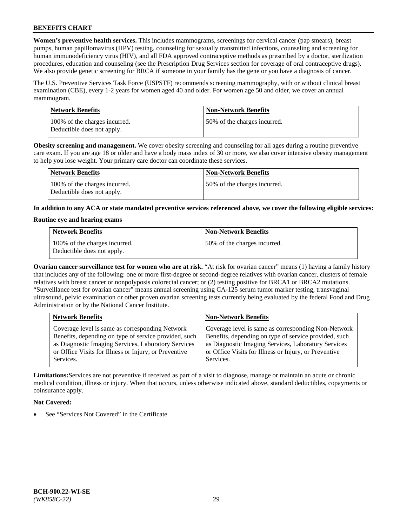**Women's preventive health services.** This includes mammograms, screenings for cervical cancer (pap smears), breast pumps, human papillomavirus (HPV) testing, counseling for sexually transmitted infections, counseling and screening for human immunodeficiency virus (HIV), and all FDA approved contraceptive methods as prescribed by a doctor, sterilization procedures, education and counseling (see the Prescription Drug Services section for coverage of oral contraceptive drugs). We also provide genetic screening for BRCA if someone in your family has the gene or you have a diagnosis of cancer.

The U.S. Preventive Services Task Force (USPSTF) recommends screening mammography, with or without clinical breast examination (CBE), every 1-2 years for women aged 40 and older. For women age 50 and older, we cover an annual mammogram.

| <b>Network Benefits</b>                                     | <b>Non-Network Benefits</b>  |
|-------------------------------------------------------------|------------------------------|
| 100% of the charges incurred.<br>Deductible does not apply. | 50% of the charges incurred. |

**Obesity screening and management.** We cover obesity screening and counseling for all ages during a routine preventive care exam. If you are age 18 or older and have a body mass index of 30 or more, we also cover intensive obesity management to help you lose weight. Your primary care doctor can coordinate these services.

| Network Benefits                                            | <b>Non-Network Benefits</b>  |
|-------------------------------------------------------------|------------------------------|
| 100% of the charges incurred.<br>Deductible does not apply. | 50% of the charges incurred. |

**In addition to any ACA or state mandated preventive services referenced above, we cover the following eligible services:**

#### **Routine eye and hearing exams**

| <b>Network Benefits</b>                                     | <b>Non-Network Benefits</b>  |
|-------------------------------------------------------------|------------------------------|
| 100% of the charges incurred.<br>Deductible does not apply. | 50% of the charges incurred. |

**Ovarian cancer surveillance test for women who are at risk.** "At risk for ovarian cancer" means (1) having a family history that includes any of the following: one or more first-degree or second-degree relatives with ovarian cancer, clusters of female relatives with breast cancer or nonpolyposis colorectal cancer; or (2) testing positive for BRCA1 or BRCA2 mutations. "Surveillance test for ovarian cancer" means annual screening using CA-125 serum tumor marker testing, transvaginal ultrasound, pelvic examination or other proven ovarian screening tests currently being evaluated by the federal Food and Drug Administration or by the National Cancer Institute.

| <b>Network Benefits</b>                               | <b>Non-Network Benefits</b>                           |
|-------------------------------------------------------|-------------------------------------------------------|
| Coverage level is same as corresponding Network       | Coverage level is same as corresponding Non-Network   |
| Benefits, depending on type of service provided, such | Benefits, depending on type of service provided, such |
| as Diagnostic Imaging Services, Laboratory Services   | as Diagnostic Imaging Services, Laboratory Services   |
| or Office Visits for Illness or Injury, or Preventive | or Office Visits for Illness or Injury, or Preventive |
| Services.                                             | Services.                                             |

**Limitations:**Services are not preventive if received as part of a visit to diagnose, manage or maintain an acute or chronic medical condition, illness or injury. When that occurs, unless otherwise indicated above, standard deductibles, copayments or coinsurance apply.

## **Not Covered:**

See "Services Not Covered" in the Certificate.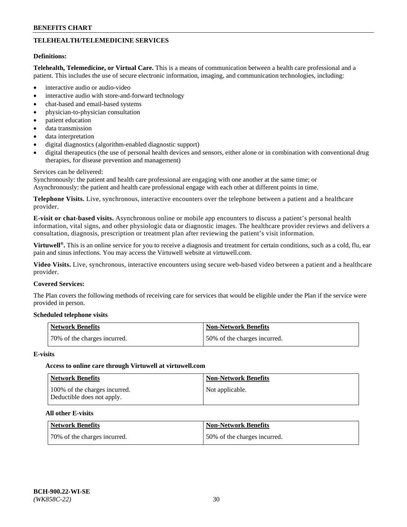# **TELEHEALTH/TELEMEDICINE SERVICES**

#### **Definitions:**

**Telehealth, Telemedicine, or Virtual Care.** This is a means of communication between a health care professional and a patient. This includes the use of secure electronic information, imaging, and communication technologies, including:

- interactive audio or audio-video
- interactive audio with store-and-forward technology
- chat-based and email-based systems
- physician-to-physician consultation
- patient education
- data transmission
- data interpretation
- digital diagnostics (algorithm-enabled diagnostic support)
- digital therapeutics (the use of personal health devices and sensors, either alone or in combination with conventional drug therapies, for disease prevention and management)

#### Services can be delivered:

Synchronously: the patient and health care professional are engaging with one another at the same time; or Asynchronously: the patient and health care professional engage with each other at different points in time.

**Telephone Visits.** Live, synchronous, interactive encounters over the telephone between a patient and a healthcare provider.

**E-visit or chat-based visits.** Asynchronous online or mobile app encounters to discuss a patient's personal health information, vital signs, and other physiologic data or diagnostic images. The healthcare provider reviews and delivers a consultation, diagnosis, prescription or treatment plan after reviewing the patient's visit information.

**Virtuwell®.** This is an online service for you to receive a diagnosis and treatment for certain conditions, such as a cold, flu, ear pain and sinus infections. You may access the Virtuwell website at [virtuwell.com.](https://www.virtuwell.com/)

**Video Visits.** Live, synchronous, interactive encounters using secure web-based video between a patient and a healthcare provider.

#### **Covered Services:**

The Plan covers the following methods of receiving care for services that would be eligible under the Plan if the service were provided in person.

#### **Scheduled telephone visits**

| Network Benefits             | Non-Network Benefits         |
|------------------------------|------------------------------|
| 70% of the charges incurred. | 50% of the charges incurred. |

#### **E-visits**

## **Access to online care through Virtuwell at [virtuwell.com](https://www.virtuwell.com/)**

| <b>Network Benefits</b>                                     | <b>Non-Network Benefits</b> |
|-------------------------------------------------------------|-----------------------------|
| 100% of the charges incurred.<br>Deductible does not apply. | Not applicable.             |

## **All other E-visits**

| Network Benefits             | <b>Non-Network Benefits</b>  |
|------------------------------|------------------------------|
| 70% of the charges incurred. | 50% of the charges incurred. |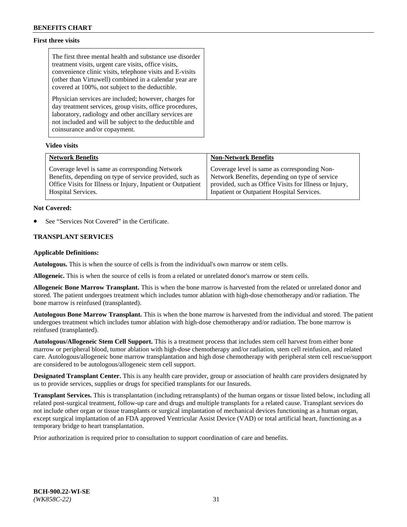## **First three visits**

The first three mental health and substance use disorder treatment visits, urgent care visits, office visits, convenience clinic visits, telephone visits and E-visits (other than Virtuwell) combined in a calendar year are covered at 100%, not subject to the deductible.

Physician services are included; however, charges for day treatment services, group visits, office procedures, laboratory, radiology and other ancillary services are not included and will be subject to the deductible and coinsurance and/or copayment.

## **Video visits**

| <b>Network Benefits</b>                                      | <b>Non-Network Benefits</b>                            |
|--------------------------------------------------------------|--------------------------------------------------------|
| Coverage level is same as corresponding Network              | Coverage level is same as corresponding Non-           |
| Benefits, depending on type of service provided, such as     | Network Benefits, depending on type of service         |
| Office Visits for Illness or Injury, Inpatient or Outpatient | provided, such as Office Visits for Illness or Injury, |
| Hospital Services.                                           | Inpatient or Outpatient Hospital Services.             |

#### **Not Covered:**

See "Services Not Covered" in the Certificate.

## **TRANSPLANT SERVICES**

#### **Applicable Definitions:**

**Autologous.** This is when the source of cells is from the individual's own marrow or stem cells.

**Allogeneic.** This is when the source of cells is from a related or unrelated donor's marrow or stem cells.

**Allogeneic Bone Marrow Transplant.** This is when the bone marrow is harvested from the related or unrelated donor and stored. The patient undergoes treatment which includes tumor ablation with high-dose chemotherapy and/or radiation. The bone marrow is reinfused (transplanted).

**Autologous Bone Marrow Transplant.** This is when the bone marrow is harvested from the individual and stored. The patient undergoes treatment which includes tumor ablation with high-dose chemotherapy and/or radiation. The bone marrow is reinfused (transplanted).

**Autologous/Allogeneic Stem Cell Support.** This is a treatment process that includes stem cell harvest from either bone marrow or peripheral blood, tumor ablation with high-dose chemotherapy and/or radiation, stem cell reinfusion, and related care. Autologous/allogeneic bone marrow transplantation and high dose chemotherapy with peripheral stem cell rescue/support are considered to be autologous/allogeneic stem cell support.

**Designated Transplant Center.** This is any health care provider, group or association of health care providers designated by us to provide services, supplies or drugs for specified transplants for our Insureds.

**Transplant Services.** This is transplantation (including retransplants) of the human organs or tissue listed below, including all related post-surgical treatment, follow-up care and drugs and multiple transplants for a related cause. Transplant services do not include other organ or tissue transplants or surgical implantation of mechanical devices functioning as a human organ, except surgical implantation of an FDA approved Ventricular Assist Device (VAD) or total artificial heart, functioning as a temporary bridge to heart transplantation.

Prior authorization is required prior to consultation to support coordination of care and benefits.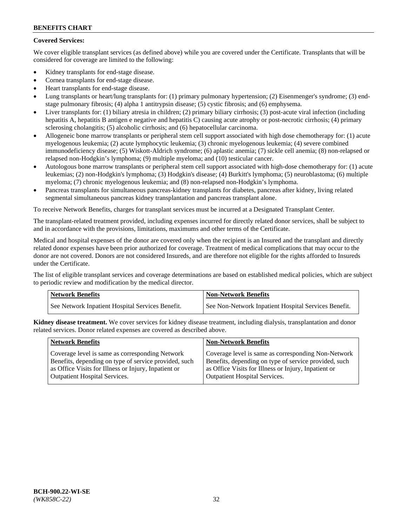## **Covered Services:**

We cover eligible transplant services (as defined above) while you are covered under the Certificate. Transplants that will be considered for coverage are limited to the following:

- Kidney transplants for end-stage disease.
- Cornea transplants for end-stage disease.
- Heart transplants for end-stage disease.
- Lung transplants or heart/lung transplants for: (1) primary pulmonary hypertension; (2) Eisenmenger's syndrome; (3) endstage pulmonary fibrosis; (4) alpha 1 antitrypsin disease; (5) cystic fibrosis; and (6) emphysema.
- Liver transplants for: (1) biliary atresia in children; (2) primary biliary cirrhosis; (3) post-acute viral infection (including hepatitis A, hepatitis B antigen e negative and hepatitis C) causing acute atrophy or post-necrotic cirrhosis; (4) primary sclerosing cholangitis; (5) alcoholic cirrhosis; and (6) hepatocellular carcinoma.
- Allogeneic bone marrow transplants or peripheral stem cell support associated with high dose chemotherapy for: (1) acute myelogenous leukemia; (2) acute lymphocytic leukemia; (3) chronic myelogenous leukemia; (4) severe combined immunodeficiency disease; (5) Wiskott-Aldrich syndrome; (6) aplastic anemia; (7) sickle cell anemia; (8) non-relapsed or relapsed non-Hodgkin's lymphoma; (9) multiple myeloma; and (10) testicular cancer.
- Autologous bone marrow transplants or peripheral stem cell support associated with high-dose chemotherapy for: (1) acute leukemias; (2) non-Hodgkin's lymphoma; (3) Hodgkin's disease; (4) Burkitt's lymphoma; (5) neuroblastoma; (6) multiple myeloma; (7) chronic myelogenous leukemia; and (8) non-relapsed non-Hodgkin's lymphoma.
- Pancreas transplants for simultaneous pancreas-kidney transplants for diabetes, pancreas after kidney, living related segmental simultaneous pancreas kidney transplantation and pancreas transplant alone.

To receive Network Benefits, charges for transplant services must be incurred at a Designated Transplant Center.

The transplant-related treatment provided, including expenses incurred for directly related donor services, shall be subject to and in accordance with the provisions, limitations, maximums and other terms of the Certificate.

Medical and hospital expenses of the donor are covered only when the recipient is an Insured and the transplant and directly related donor expenses have been prior authorized for coverage. Treatment of medical complications that may occur to the donor are not covered. Donors are not considered Insureds, and are therefore not eligible for the rights afforded to Insureds under the Certificate.

The list of eligible transplant services and coverage determinations are based on established medical policies, which are subject to periodic review and modification by the medical director.

| <b>Network Benefits</b>                          | <b>Non-Network Benefits</b>                          |
|--------------------------------------------------|------------------------------------------------------|
| See Network Inpatient Hospital Services Benefit. | See Non-Network Inpatient Hospital Services Benefit. |

**Kidney disease treatment.** We cover services for kidney disease treatment, including dialysis, transplantation and donor related services. Donor related expenses are covered as described above.

| <b>Network Benefits</b>                               | <b>Non-Network Benefits</b>                           |
|-------------------------------------------------------|-------------------------------------------------------|
| Coverage level is same as corresponding Network       | Coverage level is same as corresponding Non-Network   |
| Benefits, depending on type of service provided, such | Benefits, depending on type of service provided, such |
| as Office Visits for Illness or Injury, Inpatient or  | as Office Visits for Illness or Injury, Inpatient or  |
| <b>Outpatient Hospital Services.</b>                  | <b>Outpatient Hospital Services.</b>                  |